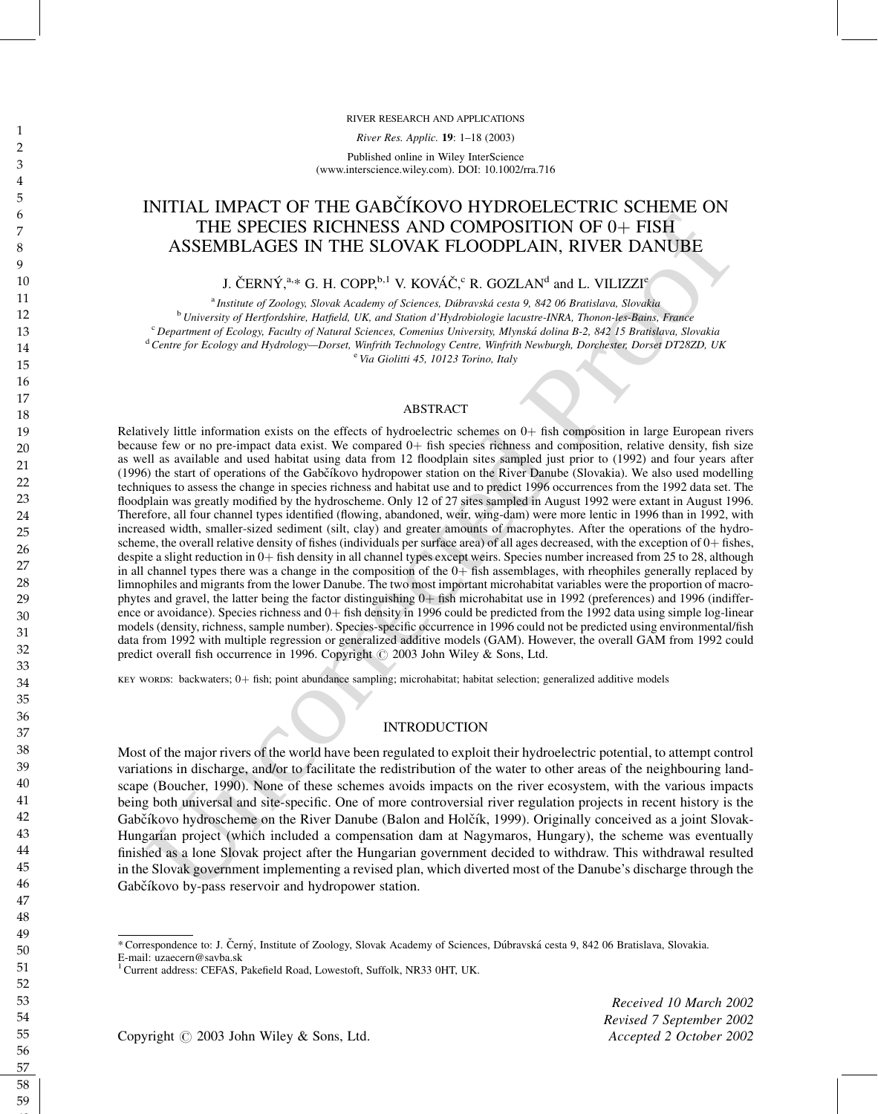RIVER RESEARCH AND APPLICATIONS

River Res. Applic. 19: 1–18 (2003)

Published online in Wiley InterScience (www.interscience.wiley.com). DOI: 10.1002/rra.716

## INITIAL IMPACT OF THE GABČÍKOVO HYDROELECTRIC SCHEME ON THE SPECIES RICHNESS AND COMPOSITION OF  $0+$  FISH ASSEMBLAGES IN THE SLOVAK FLOODPLAIN, RIVER DANUBE

J. ČERNÝ, $a_{1,*}$  G. H. COPP, $b,1$  V. KOVÁČ, $c$  R. GOZLAN $^{\rm d}$  and L. VILIZZI $^{\rm e}$ 

<sup>a</sup> Institute of Zoology, Slovak Academy of Sciences, Dúbravská cesta 9, 842 06 Bratislava, Slovakia <sup>b</sup> University of Hertfordshire, Hatfield, UK, and Station d'Hydrobiologie lacustre-INRA, Thonon-les-Bains, France <sup>c</sup> Department of Ecology, Faculty of Natural Sciences, Comenius University, Mlynská dolina B-2, 842 15 Bratislava, Slovakia <sup>d</sup> Centre for Ecology and Hydrology—Dorset, Winfrith Technology Centre, Winfrith Newburgh, Dorchester, Dorset DT28ZD, UK

<sup>e</sup> Via Giolitti 45, 10123 Torino, Italy

#### ABSTRACT

THE SPECIES RICHWESS AND COMPOSITION OF 04 FISH<br>THE SPECIES RICHWESS AND COMPOSITION OF 04 FISH<br>ASSEMBLAGES IN THE SLOVAK FLOODPILAIN, RIVER DANUBE<br>ASSEMBLAGES IN THE SLOVAK FLOODPILAIN, RIVER DANUBE<br> $^{12}$  CERRY:  $^{14}$  Relatively little information exists on the effects of hydroelectric schemes on  $0+$  fish composition in large European rivers because few or no pre-impact data exist. We compared  $0+$  fish species richness and composition, relative density, fish size as well as available and used habitat using data from 12 floodplain sites sampled just prior to (1992) and four years after (1996) the start of operations of the Gabčíkovo hydropower station on the River Danube (Slovakia). We also used modelling techniques to assess the change in species richness and habitat use and to predict 1996 occurrences from the 1992 data set. The floodplain was greatly modified by the hydroscheme. Only 12 of 27 sites sampled in August 1992 were extant in August 1996. Therefore, all four channel types identified (flowing, abandoned, weir, wing-dam) were more lentic in 1996 than in 1992, with increased width, smaller-sized sediment (silt, clay) and greater amounts of macrophytes. After the operations of the hydroscheme, the overall relative density of fishes (individuals per surface area) of all ages decreased, with the exception of  $0+$  fishes, despite a slight reduction in 0+ fish density in all channel types except weirs. Species number increased from 25 to 28, although in all channel types there was a change in the composition of the  $0+$  fish assemblages, with rheophiles generally replaced by limnophiles and migrants from the lower Danube. The two most important microhabitat variables were the proportion of macrophytes and gravel, the latter being the factor distinguishing  $0+$  fish microhabitat use in 1992 (preferences) and 1996 (indifference or avoidance). Species richness and  $0+$  fish density in 1996 could be predicted from the 1992 data using simple log-linear models (density, richness, sample number). Species-specific occurrence in 1996 could not be predicted using environmental/fish data from 1992 with multiple regression or generalized additive models (GAM). However, the overall GAM from 1992 could predict overall fish occurrence in 1996. Copyright  $\odot$  2003 John Wiley & Sons, Ltd.

key words: backwaters; 0þ fish; point abundance sampling; microhabitat; habitat selection; generalized additive models

#### INTRODUCTION

Most of the major rivers of the world have been regulated to exploit their hydroelectric potential, to attempt control variations in discharge, and/or to facilitate the redistribution of the water to other areas of the neighbouring landscape (Boucher, 1990). None of these schemes avoids impacts on the river ecosystem, with the various impacts being both universal and site-specific. One of more controversial river regulation projects in recent history is the Gabčíkovo hydroscheme on the River Danube (Balon and Holčík, 1999). Originally conceived as a joint Slovak-Hungarian project (which included a compensation dam at Nagymaros, Hungary), the scheme was eventually finished as a lone Slovak project after the Hungarian government decided to withdraw. This withdrawal resulted in the Slovak government implementing a revised plan, which diverted most of the Danube's discharge through the Gabčíkovo by-pass reservoir and hydropower station.

Received 10 March 2002 Revised 7 September 2002

Copyright  $\odot$  2003 John Wiley & Sons, Ltd. Accepted 2 October 2002

<sup>\*</sup> Correspondence to: J. Cˇ erny´, Institute of Zoology, Slovak Academy of Sciences, Du´bravska´ cesta 9, 842 06 Bratislava, Slovakia.

E-mail: uzaecern@savba.sk

<sup>&</sup>lt;sup>1</sup> Current address: CEFAS, Pakefield Road, Lowestoft, Suffolk, NR33 0HT, UK.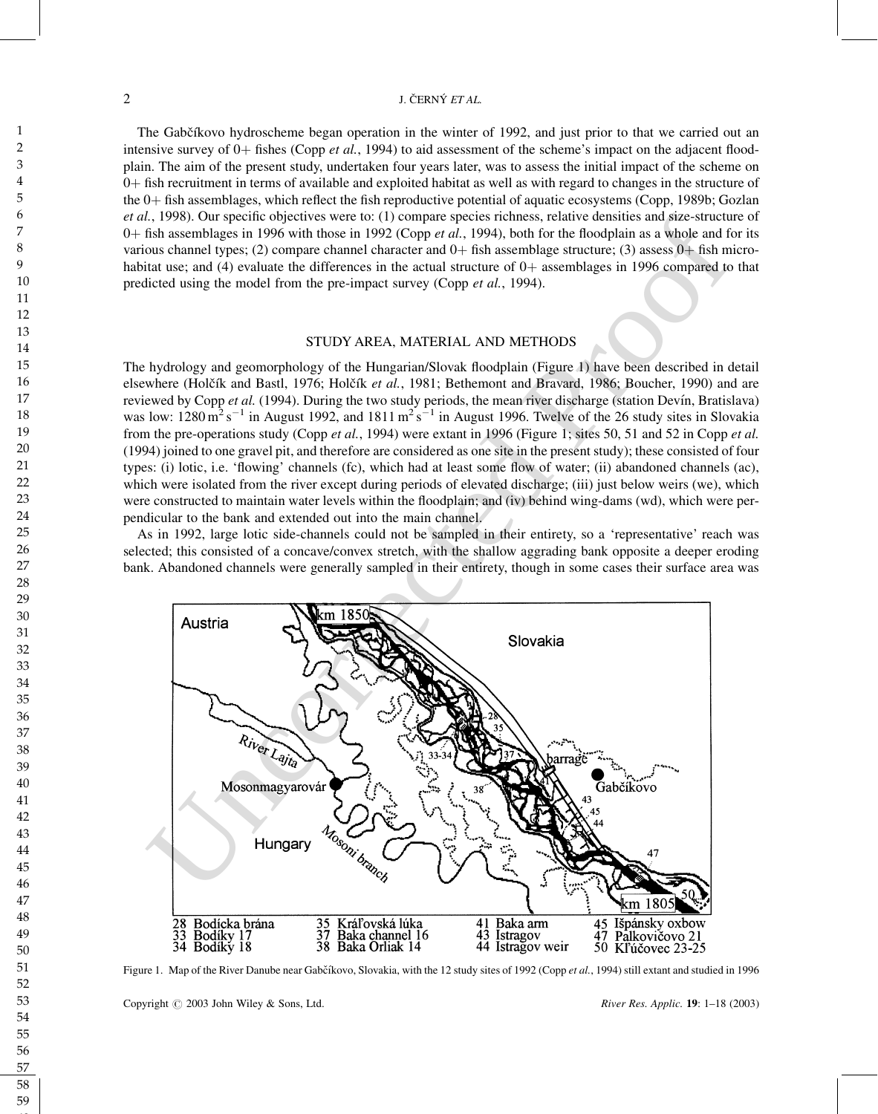### 2 J. ČERNÝ ET AL.

The Gabčíkovo hydroscheme began operation in the winter of 1992, and just prior to that we carried out an intensive survey of  $0+$  fishes (Copp *et al.*, 1994) to aid assessment of the scheme's impact on the adjacent floodplain. The aim of the present study, undertaken four years later, was to assess the initial impact of the scheme on þ fish recruitment in terms of available and exploited habitat as well as with regard to changes in the structure of the  $0+$  fish assemblages, which reflect the fish reproductive potential of aquatic ecosystems (Copp, 1989b; Gozlan et al., 1998). Our specific objectives were to: (1) compare species richness, relative densities and size-structure of  $0+$  fish assemblages in 1996 with those in 1992 (Copp *et al.*, 1994), both for the floodplain as a whole and for its various channel types; (2) compare channel character and  $0+$  fish assemblage structure; (3) assess  $0+$  fish microhabitat use; and (4) evaluate the differences in the actual structure of  $0+$  assemblages in 1996 compared to that predicted using the model from the pre-impact survey (Copp et al., 1994).

#### STUDY AREA, MATERIAL AND METHODS

The hydrology and geomorphology of the Hungarian/Slovak floodplain (Figure 1) have been described in detail elsewhere (Holčík and Bastl, 1976; Holčík et al., 1981; Bethemont and Bravard, 1986; Boucher, 1990) and are reviewed by Copp et al. (1994). During the two study periods, the mean river discharge (station Devín, Bratislava) was low:  $1280 \text{ m}^2 \text{s}^{-1}$  in August 1992, and  $1811 \text{ m}^2 \text{s}^{-1}$  in August 1996. Twelve of the 26 study sites in Slovakia from the pre-operations study (Copp et al., 1994) were extant in 1996 (Figure 1; sites 50, 51 and 52 in Copp et al. (1994) joined to one gravel pit, and therefore are considered as one site in the present study); these consisted of four types: (i) lotic, i.e. 'flowing' channels (fc), which had at least some flow of water; (ii) abandoned channels (ac), which were isolated from the river except during periods of elevated discharge; (iii) just below weirs (we), which were constructed to maintain water levels within the floodplain; and (iv) behind wing-dams (wd), which were perpendicular to the bank and extended out into the main channel.

As in 1992, large lotic side-channels could not be sampled in their entirety, so a 'representative' reach was selected; this consisted of a concave/convex stretch, with the shallow aggrading bank opposite a deeper eroding bank. Abandoned channels were generally sampled in their entirety, though in some cases their surface area was



Figure 1. Map of the River Danube near Gabčíkovo, Slovakia, with the 12 study sites of 1992 (Copp et al., 1994) still extant and studied in 1996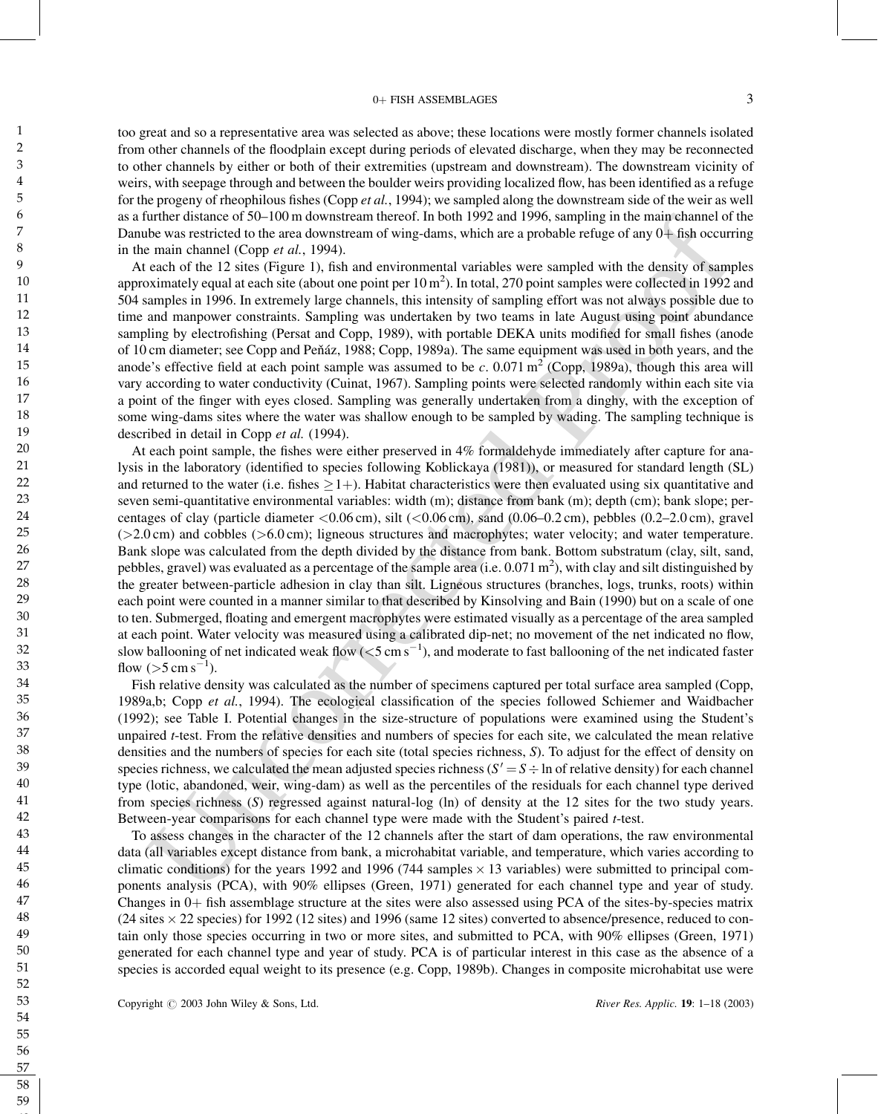#### 0+ FISH ASSEMBLAGES 3

too great and so a representative area was selected as above; these locations were mostly former channels isolated from other channels of the floodplain except during periods of elevated discharge, when they may be reconnected to other channels by either or both of their extremities (upstream and downstream). The downstream vicinity of weirs, with seepage through and between the boulder weirs providing localized flow, has been identified as a refuge for the progeny of rheophilous fishes (Copp *et al.*, 1994); we sampled along the downstream side of the weir as well as a further distance of 50–100 m downstream thereof. In both 1992 and 1996, sampling in the main channel of the Danube was restricted to the area downstream of wing-dams, which are a probable refuge of any  $0+$  fish occurring in the main channel (Copp et al., 1994).

At each of the 12 sites (Figure 1), fish and environmental variables were sampled with the density of samples approximately equal at each site (about one point per  $10 \text{ m}^2$ ). In total, 270 point samples were collected in 1992 and 504 samples in 1996. In extremely large channels, this intensity of sampling effort was not always possible due to time and manpower constraints. Sampling was undertaken by two teams in late August using point abundance sampling by electrofishing (Persat and Copp, 1989), with portable DEKA units modified for small fishes (anode of 10 cm diameter; see Copp and Peňáz, 1988; Copp, 1989a). The same equipment was used in both years, and the anode's effective field at each point sample was assumed to be c. 0.071  $\text{m}^2$  (Copp, 1989a), though this area will vary according to water conductivity (Cuinat, 1967). Sampling points were selected randomly within each site via a point of the finger with eyes closed. Sampling was generally undertaken from a dinghy, with the exception of some wing-dams sites where the water was shallow enough to be sampled by wading. The sampling technique is described in detail in Copp et al. (1994).

irulne dislate of 50-100 m dowasteran thereel. In both 1992 and 1996, sampling in the main channel of the corrected mental can be main channel of the corrected mental can provide in the main channel of one profile and th At each point sample, the fishes were either preserved in 4% formaldehyde immediately after capture for analysis in the laboratory (identified to species following Koblickaya (1981)), or measured for standard length (SL) and returned to the water (i.e. fishes  $\geq 1+$ ). Habitat characteristics were then evaluated using six quantitative and seven semi-quantitative environmental variables: width (m); distance from bank (m); depth (cm); bank slope; percentages of clay (particle diameter <0.06 cm), silt (<0.06 cm), sand (0.06–0.2 cm), pebbles (0.2–2.0 cm), gravel  $(>2.0 \text{ cm})$  and cobbles  $(>6.0 \text{ cm})$ ; ligneous structures and macrophytes; water velocity; and water temperature. Bank slope was calculated from the depth divided by the distance from bank. Bottom substratum (clay, silt, sand, pebbles, gravel) was evaluated as a percentage of the sample area (i.e.  $0.071 \text{ m}^2$ ), with clay and silt distinguished by the greater between-particle adhesion in clay than silt. Ligneous structures (branches, logs, trunks, roots) within each point were counted in a manner similar to that described by Kinsolving and Bain (1990) but on a scale of one to ten. Submerged, floating and emergent macrophytes were estimated visually as a percentage of the area sampled at each point. Water velocity was measured using a calibrated dip-net; no movement of the net indicated no flow, slow ballooning of net indicated weak flow  $(< 5 \text{ cm s}^{-1})$ , and moderate to fast ballooning of the net indicated faster flow  $(55 \text{ cm s}^{-1})$ .

Fish relative density was calculated as the number of specimens captured per total surface area sampled (Copp, 1989a,b; Copp et al., 1994). The ecological classification of the species followed Schiemer and Waidbacher (1992); see Table I. Potential changes in the size-structure of populations were examined using the Student's unpaired t-test. From the relative densities and numbers of species for each site, we calculated the mean relative densities and the numbers of species for each site (total species richness, S). To adjust for the effect of density on species richness, we calculated the mean adjusted species richness  $(S' = S \div \ln$  of relative density) for each channel type (lotic, abandoned, weir, wing-dam) as well as the percentiles of the residuals for each channel type derived from species richness (S) regressed against natural-log (ln) of density at the 12 sites for the two study years. Between-year comparisons for each channel type were made with the Student's paired t-test.

To assess changes in the character of the 12 channels after the start of dam operations, the raw environmental data (all variables except distance from bank, a microhabitat variable, and temperature, which varies according to climatic conditions) for the years 1992 and 1996 (744 samples  $\times$  13 variables) were submitted to principal components analysis (PCA), with 90% ellipses (Green, 1971) generated for each channel type and year of study. Changes in  $0+$  fish assemblage structure at the sites were also assessed using PCA of the sites-by-species matrix  $(24 \text{ sites} \times 22 \text{ species})$  for 1992 (12 sites) and 1996 (same 12 sites) converted to absence/presence, reduced to contain only those species occurring in two or more sites, and submitted to PCA, with 90% ellipses (Green, 1971) generated for each channel type and year of study. PCA is of particular interest in this case as the absence of a species is accorded equal weight to its presence (e.g. Copp, 1989b). Changes in composite microhabitat use were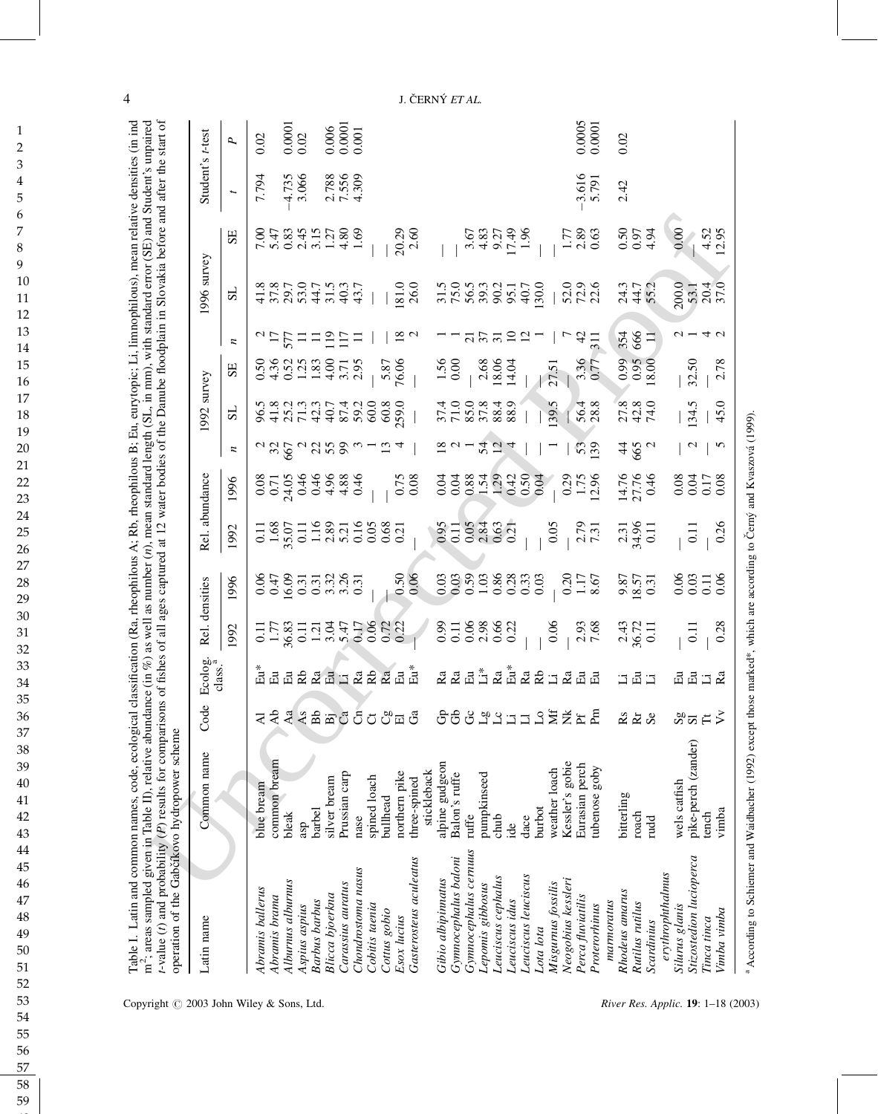| 480 <sub>o</sub><br>$a \times b$ $a \times b$ $a \times a$ $a \times a$<br>$20 - 72$<br>53<br>$\overline{4}$<br>$\boldsymbol{z}$<br>Rel. abundance<br>14.76<br>27.76<br>0.46<br>$0.75$<br>0.08<br>0.50<br>0.50<br>0.04<br>0.29<br>1.75<br>12.96<br>$0.38372$<br>$0.08372$<br>1996<br>51553621<br>00023691<br>0.05<br>$2.79$<br>$7.31$<br>$231$<br>$34.96$<br>$0.11$<br>0.11<br>0.68<br>0.119<br>0.38<br>0.12<br>0.68<br>0.68<br>1992<br>0.21<br>0.06<br>0.50<br>$0.47$<br>$0.40$<br>$0.50$<br>$0.50$<br>$0.50$<br>$0.50$<br>$0.50$<br>$0.50$<br>$\begin{array}{c} 0.03 \\ 0.03 \end{array}$<br>$0.20$<br>1.17<br>8.67<br>$\frac{9.87}{18.57}$<br>1996<br>Rel. densities<br>0.177831134777822<br>0.06<br>0.1888021<br>0.0.0.0.0.0<br>$2,43$<br>$36.72$<br>$0.11$<br>$\frac{1}{2}$ .93<br>1992<br>Ecolog.<br>class.<br>$\mathbb{Z}$ $\mathbb{Z}$ $\mathbb{Z}$ $\mathbb{Z}$<br><u>ដី ដូឡូ</u><br>畠<br>$\mathbf{R}\mathbf{b}$<br><b>225</b><br>品品品<br>$Z = I$<br>Ra<br>Ra<br>Ra<br><b>접띰</b> 멈<br>コロコ<br>Code<br>පිචි<br><b>BEELLS</b><br>요<br>$rac{1}{4}$<br><b>Lamas</b><br>ರ ರಿ ಪ ರೆ<br>EŽE<br>22 S<br>₹<br>Common name<br>common bream<br>alpine gudgeon<br>Kessler's gobie<br>Eurasian perch<br>tubenose goby<br>weather loach<br>stickleback<br>northern pike<br>Prussian carp<br>Balon's ruffe<br>pumpkinseed<br>spined loach<br>silver bream<br>three-spined<br>blue bream<br>bitterling<br>bullhead<br>burbot<br>barbel<br>bleak<br>roach<br>ruffe<br>chub<br>dace<br>nase<br>ndd<br>asp<br>ide<br>Gynnocephalus cernuus<br>Gasterosteus aculeatus<br>Gymnocephalus baloni<br>Chondrostoma nasus<br>erythrophthalmus<br>Leuciscus leuciscus<br>Leuciscus cephalus<br>Gibio albipinnatus<br>Neogobius kessleri<br>Alburnus alburnus<br>Carassius auratus<br>Misgurnus fossilis<br>Lepomis gibbosus<br>Abramis ballerus<br>Rhodeus amarus<br>Blicca bjoerkna<br>Perca fluviatilis<br>Abramis brama<br>Leuciscus idus<br><b>Barbus</b> barbus<br>marmoratus<br>Rutilus rutilus<br>Cobitis taenia<br>Proterorhinus<br>Aspius aspius<br>Cottus gobio<br>Esox lucius<br>Latin name<br>Scardinius<br>Lota lota |  | 542544886650<br>5L | 56622330515690113<br>5.87<br>76.06<br>SE<br>1992 survey | $\frac{8}{18}$<br>$^{7}$ $^{17}$ $^{57}$<br>$\frac{9}{2}$<br>$\sim$<br>$\overline{11}$<br>$\Xi$<br>$\equiv$<br>Ξ<br>z | 1996 survey<br>$\frac{181.0}{26.0}$<br>5L | SE                  | Student's t-test<br>7.794<br>$\overline{\phantom{a}}$ |                                                         |
|--------------------------------------------------------------------------------------------------------------------------------------------------------------------------------------------------------------------------------------------------------------------------------------------------------------------------------------------------------------------------------------------------------------------------------------------------------------------------------------------------------------------------------------------------------------------------------------------------------------------------------------------------------------------------------------------------------------------------------------------------------------------------------------------------------------------------------------------------------------------------------------------------------------------------------------------------------------------------------------------------------------------------------------------------------------------------------------------------------------------------------------------------------------------------------------------------------------------------------------------------------------------------------------------------------------------------------------------------------------------------------------------------------------------------------------------------------------------------------------------------------------------------------------------------------------------------------------------------------------------------------------------------------------------------------------------------------------------------------------------------------------------------------------------------------------------------------------------------------------------------------------------------------------------------------------------------------------------------------------------------------------------------------------------------------------------------------------------------------------|--|--------------------|---------------------------------------------------------|-----------------------------------------------------------------------------------------------------------------------|-------------------------------------------|---------------------|-------------------------------------------------------|---------------------------------------------------------|
|                                                                                                                                                                                                                                                                                                                                                                                                                                                                                                                                                                                                                                                                                                                                                                                                                                                                                                                                                                                                                                                                                                                                                                                                                                                                                                                                                                                                                                                                                                                                                                                                                                                                                                                                                                                                                                                                                                                                                                                                                                                                                                              |  |                    |                                                         |                                                                                                                       |                                           |                     |                                                       |                                                         |
|                                                                                                                                                                                                                                                                                                                                                                                                                                                                                                                                                                                                                                                                                                                                                                                                                                                                                                                                                                                                                                                                                                                                                                                                                                                                                                                                                                                                                                                                                                                                                                                                                                                                                                                                                                                                                                                                                                                                                                                                                                                                                                              |  |                    |                                                         |                                                                                                                       |                                           |                     |                                                       | Р,                                                      |
|                                                                                                                                                                                                                                                                                                                                                                                                                                                                                                                                                                                                                                                                                                                                                                                                                                                                                                                                                                                                                                                                                                                                                                                                                                                                                                                                                                                                                                                                                                                                                                                                                                                                                                                                                                                                                                                                                                                                                                                                                                                                                                              |  |                    |                                                         |                                                                                                                       |                                           |                     |                                                       | 0.02                                                    |
|                                                                                                                                                                                                                                                                                                                                                                                                                                                                                                                                                                                                                                                                                                                                                                                                                                                                                                                                                                                                                                                                                                                                                                                                                                                                                                                                                                                                                                                                                                                                                                                                                                                                                                                                                                                                                                                                                                                                                                                                                                                                                                              |  |                    |                                                         |                                                                                                                       |                                           |                     |                                                       |                                                         |
|                                                                                                                                                                                                                                                                                                                                                                                                                                                                                                                                                                                                                                                                                                                                                                                                                                                                                                                                                                                                                                                                                                                                                                                                                                                                                                                                                                                                                                                                                                                                                                                                                                                                                                                                                                                                                                                                                                                                                                                                                                                                                                              |  |                    |                                                         |                                                                                                                       |                                           |                     |                                                       | $0.0001$<br>$0.02$                                      |
|                                                                                                                                                                                                                                                                                                                                                                                                                                                                                                                                                                                                                                                                                                                                                                                                                                                                                                                                                                                                                                                                                                                                                                                                                                                                                                                                                                                                                                                                                                                                                                                                                                                                                                                                                                                                                                                                                                                                                                                                                                                                                                              |  |                    |                                                         |                                                                                                                       |                                           |                     | 4.735<br>3.066                                        |                                                         |
|                                                                                                                                                                                                                                                                                                                                                                                                                                                                                                                                                                                                                                                                                                                                                                                                                                                                                                                                                                                                                                                                                                                                                                                                                                                                                                                                                                                                                                                                                                                                                                                                                                                                                                                                                                                                                                                                                                                                                                                                                                                                                                              |  |                    |                                                         |                                                                                                                       |                                           |                     |                                                       |                                                         |
|                                                                                                                                                                                                                                                                                                                                                                                                                                                                                                                                                                                                                                                                                                                                                                                                                                                                                                                                                                                                                                                                                                                                                                                                                                                                                                                                                                                                                                                                                                                                                                                                                                                                                                                                                                                                                                                                                                                                                                                                                                                                                                              |  |                    |                                                         |                                                                                                                       |                                           |                     |                                                       |                                                         |
|                                                                                                                                                                                                                                                                                                                                                                                                                                                                                                                                                                                                                                                                                                                                                                                                                                                                                                                                                                                                                                                                                                                                                                                                                                                                                                                                                                                                                                                                                                                                                                                                                                                                                                                                                                                                                                                                                                                                                                                                                                                                                                              |  |                    |                                                         |                                                                                                                       |                                           |                     | 2.788<br>7.556<br>4.309                               | $\begin{array}{c} 0.006 \\ 0.0001 \\ 0.001 \end{array}$ |
|                                                                                                                                                                                                                                                                                                                                                                                                                                                                                                                                                                                                                                                                                                                                                                                                                                                                                                                                                                                                                                                                                                                                                                                                                                                                                                                                                                                                                                                                                                                                                                                                                                                                                                                                                                                                                                                                                                                                                                                                                                                                                                              |  |                    |                                                         |                                                                                                                       |                                           |                     |                                                       |                                                         |
|                                                                                                                                                                                                                                                                                                                                                                                                                                                                                                                                                                                                                                                                                                                                                                                                                                                                                                                                                                                                                                                                                                                                                                                                                                                                                                                                                                                                                                                                                                                                                                                                                                                                                                                                                                                                                                                                                                                                                                                                                                                                                                              |  |                    |                                                         |                                                                                                                       |                                           |                     |                                                       |                                                         |
|                                                                                                                                                                                                                                                                                                                                                                                                                                                                                                                                                                                                                                                                                                                                                                                                                                                                                                                                                                                                                                                                                                                                                                                                                                                                                                                                                                                                                                                                                                                                                                                                                                                                                                                                                                                                                                                                                                                                                                                                                                                                                                              |  |                    |                                                         |                                                                                                                       |                                           |                     |                                                       |                                                         |
|                                                                                                                                                                                                                                                                                                                                                                                                                                                                                                                                                                                                                                                                                                                                                                                                                                                                                                                                                                                                                                                                                                                                                                                                                                                                                                                                                                                                                                                                                                                                                                                                                                                                                                                                                                                                                                                                                                                                                                                                                                                                                                              |  |                    |                                                         |                                                                                                                       |                                           | 20.29               |                                                       |                                                         |
|                                                                                                                                                                                                                                                                                                                                                                                                                                                                                                                                                                                                                                                                                                                                                                                                                                                                                                                                                                                                                                                                                                                                                                                                                                                                                                                                                                                                                                                                                                                                                                                                                                                                                                                                                                                                                                                                                                                                                                                                                                                                                                              |  |                    |                                                         |                                                                                                                       |                                           |                     |                                                       |                                                         |
|                                                                                                                                                                                                                                                                                                                                                                                                                                                                                                                                                                                                                                                                                                                                                                                                                                                                                                                                                                                                                                                                                                                                                                                                                                                                                                                                                                                                                                                                                                                                                                                                                                                                                                                                                                                                                                                                                                                                                                                                                                                                                                              |  |                    |                                                         |                                                                                                                       |                                           |                     |                                                       |                                                         |
|                                                                                                                                                                                                                                                                                                                                                                                                                                                                                                                                                                                                                                                                                                                                                                                                                                                                                                                                                                                                                                                                                                                                                                                                                                                                                                                                                                                                                                                                                                                                                                                                                                                                                                                                                                                                                                                                                                                                                                                                                                                                                                              |  |                    | $\frac{1.56}{0.00}$                                     |                                                                                                                       | 50933117509888                            |                     |                                                       |                                                         |
|                                                                                                                                                                                                                                                                                                                                                                                                                                                                                                                                                                                                                                                                                                                                                                                                                                                                                                                                                                                                                                                                                                                                                                                                                                                                                                                                                                                                                                                                                                                                                                                                                                                                                                                                                                                                                                                                                                                                                                                                                                                                                                              |  |                    |                                                         |                                                                                                                       |                                           |                     |                                                       |                                                         |
|                                                                                                                                                                                                                                                                                                                                                                                                                                                                                                                                                                                                                                                                                                                                                                                                                                                                                                                                                                                                                                                                                                                                                                                                                                                                                                                                                                                                                                                                                                                                                                                                                                                                                                                                                                                                                                                                                                                                                                                                                                                                                                              |  | 2100838888         |                                                         | $\frac{7}{2}$ $\frac{2}{2}$                                                                                           |                                           | $3.37$<br>$4.327$   |                                                       |                                                         |
|                                                                                                                                                                                                                                                                                                                                                                                                                                                                                                                                                                                                                                                                                                                                                                                                                                                                                                                                                                                                                                                                                                                                                                                                                                                                                                                                                                                                                                                                                                                                                                                                                                                                                                                                                                                                                                                                                                                                                                                                                                                                                                              |  |                    | 2.68<br>18.04<br>14.04                                  |                                                                                                                       |                                           |                     |                                                       |                                                         |
|                                                                                                                                                                                                                                                                                                                                                                                                                                                                                                                                                                                                                                                                                                                                                                                                                                                                                                                                                                                                                                                                                                                                                                                                                                                                                                                                                                                                                                                                                                                                                                                                                                                                                                                                                                                                                                                                                                                                                                                                                                                                                                              |  |                    |                                                         |                                                                                                                       |                                           |                     |                                                       |                                                         |
|                                                                                                                                                                                                                                                                                                                                                                                                                                                                                                                                                                                                                                                                                                                                                                                                                                                                                                                                                                                                                                                                                                                                                                                                                                                                                                                                                                                                                                                                                                                                                                                                                                                                                                                                                                                                                                                                                                                                                                                                                                                                                                              |  |                    |                                                         | $\Xi$                                                                                                                 |                                           | 17.49               |                                                       |                                                         |
|                                                                                                                                                                                                                                                                                                                                                                                                                                                                                                                                                                                                                                                                                                                                                                                                                                                                                                                                                                                                                                                                                                                                                                                                                                                                                                                                                                                                                                                                                                                                                                                                                                                                                                                                                                                                                                                                                                                                                                                                                                                                                                              |  |                    |                                                         | $\overline{c}$                                                                                                        |                                           |                     |                                                       |                                                         |
|                                                                                                                                                                                                                                                                                                                                                                                                                                                                                                                                                                                                                                                                                                                                                                                                                                                                                                                                                                                                                                                                                                                                                                                                                                                                                                                                                                                                                                                                                                                                                                                                                                                                                                                                                                                                                                                                                                                                                                                                                                                                                                              |  |                    |                                                         |                                                                                                                       | 130.0                                     |                     |                                                       |                                                         |
|                                                                                                                                                                                                                                                                                                                                                                                                                                                                                                                                                                                                                                                                                                                                                                                                                                                                                                                                                                                                                                                                                                                                                                                                                                                                                                                                                                                                                                                                                                                                                                                                                                                                                                                                                                                                                                                                                                                                                                                                                                                                                                              |  | 39.5               | 27.51                                                   |                                                                                                                       |                                           |                     |                                                       |                                                         |
|                                                                                                                                                                                                                                                                                                                                                                                                                                                                                                                                                                                                                                                                                                                                                                                                                                                                                                                                                                                                                                                                                                                                                                                                                                                                                                                                                                                                                                                                                                                                                                                                                                                                                                                                                                                                                                                                                                                                                                                                                                                                                                              |  |                    |                                                         |                                                                                                                       | 000<br>520<br>521                         | $\frac{1780}{0.63}$ |                                                       |                                                         |
|                                                                                                                                                                                                                                                                                                                                                                                                                                                                                                                                                                                                                                                                                                                                                                                                                                                                                                                                                                                                                                                                                                                                                                                                                                                                                                                                                                                                                                                                                                                                                                                                                                                                                                                                                                                                                                                                                                                                                                                                                                                                                                              |  | 56.4<br>28.8       | 3.36                                                    | $\overline{4}$                                                                                                        |                                           |                     | $3.616$<br>$5.791$                                    | $0.0005$<br>$0.0001$                                    |
|                                                                                                                                                                                                                                                                                                                                                                                                                                                                                                                                                                                                                                                                                                                                                                                                                                                                                                                                                                                                                                                                                                                                                                                                                                                                                                                                                                                                                                                                                                                                                                                                                                                                                                                                                                                                                                                                                                                                                                                                                                                                                                              |  |                    |                                                         |                                                                                                                       |                                           |                     |                                                       |                                                         |
|                                                                                                                                                                                                                                                                                                                                                                                                                                                                                                                                                                                                                                                                                                                                                                                                                                                                                                                                                                                                                                                                                                                                                                                                                                                                                                                                                                                                                                                                                                                                                                                                                                                                                                                                                                                                                                                                                                                                                                                                                                                                                                              |  |                    |                                                         |                                                                                                                       |                                           |                     |                                                       |                                                         |
|                                                                                                                                                                                                                                                                                                                                                                                                                                                                                                                                                                                                                                                                                                                                                                                                                                                                                                                                                                                                                                                                                                                                                                                                                                                                                                                                                                                                                                                                                                                                                                                                                                                                                                                                                                                                                                                                                                                                                                                                                                                                                                              |  |                    |                                                         |                                                                                                                       |                                           |                     | 2.42                                                  | 0.02                                                    |
|                                                                                                                                                                                                                                                                                                                                                                                                                                                                                                                                                                                                                                                                                                                                                                                                                                                                                                                                                                                                                                                                                                                                                                                                                                                                                                                                                                                                                                                                                                                                                                                                                                                                                                                                                                                                                                                                                                                                                                                                                                                                                                              |  | 273<br>244<br>244  | 0.99<br>0.95<br>18.00                                   | 354<br>666                                                                                                            | 24.7<br>24.7<br>25.2                      | 554<br>255          |                                                       |                                                         |
|                                                                                                                                                                                                                                                                                                                                                                                                                                                                                                                                                                                                                                                                                                                                                                                                                                                                                                                                                                                                                                                                                                                                                                                                                                                                                                                                                                                                                                                                                                                                                                                                                                                                                                                                                                                                                                                                                                                                                                                                                                                                                                              |  |                    |                                                         | ヨ                                                                                                                     |                                           |                     |                                                       |                                                         |
|                                                                                                                                                                                                                                                                                                                                                                                                                                                                                                                                                                                                                                                                                                                                                                                                                                                                                                                                                                                                                                                                                                                                                                                                                                                                                                                                                                                                                                                                                                                                                                                                                                                                                                                                                                                                                                                                                                                                                                                                                                                                                                              |  |                    |                                                         |                                                                                                                       |                                           |                     |                                                       |                                                         |
| 0.08<br>0.06<br>品品<br>wels catfish<br>Silurus glanis                                                                                                                                                                                                                                                                                                                                                                                                                                                                                                                                                                                                                                                                                                                                                                                                                                                                                                                                                                                                                                                                                                                                                                                                                                                                                                                                                                                                                                                                                                                                                                                                                                                                                                                                                                                                                                                                                                                                                                                                                                                         |  |                    |                                                         |                                                                                                                       | 200.0<br>53.1<br>57.0<br>57.0             | 0.00                |                                                       |                                                         |
| $\mathcal{L}$<br>0.04<br>$\overline{0}$ .<br>0.03<br>$\overline{0}$<br>\$85 F<br>pike-perch (zander)<br>Stizostedion lucioperca                                                                                                                                                                                                                                                                                                                                                                                                                                                                                                                                                                                                                                                                                                                                                                                                                                                                                                                                                                                                                                                                                                                                                                                                                                                                                                                                                                                                                                                                                                                                                                                                                                                                                                                                                                                                                                                                                                                                                                              |  | 134.5              | 32.50                                                   |                                                                                                                       |                                           |                     |                                                       |                                                         |
| 0.17<br>$\frac{11}{0.06}$<br>$\Xi$ $\tilde{\mathbf{z}}$<br>tench<br>Tinca tinca                                                                                                                                                                                                                                                                                                                                                                                                                                                                                                                                                                                                                                                                                                                                                                                                                                                                                                                                                                                                                                                                                                                                                                                                                                                                                                                                                                                                                                                                                                                                                                                                                                                                                                                                                                                                                                                                                                                                                                                                                              |  |                    |                                                         | 4 <sub>q</sub>                                                                                                        |                                           |                     |                                                       |                                                         |
| S<br>0.26<br>0.28<br>vinba<br>Vimba vimba                                                                                                                                                                                                                                                                                                                                                                                                                                                                                                                                                                                                                                                                                                                                                                                                                                                                                                                                                                                                                                                                                                                                                                                                                                                                                                                                                                                                                                                                                                                                                                                                                                                                                                                                                                                                                                                                                                                                                                                                                                                                    |  | 45.0               | 2.78                                                    |                                                                                                                       |                                           | 4.52<br>12.95       |                                                       |                                                         |

Copyright  $\odot$  2003 John Wiley & Sons, Ltd. River Res. Applic. 19: 1–18 (2003)

4 J. ČERNÝ ET AL.

**60** 

Table I. Latin and common names, code, ecological classification (Ra, rheophilous A; Rb, rheophilous B; Eu, eurytopic; Li, limnophilous), mean relative densities (in ind m2; areas sampled given in Table II), relative abundance (in %) as well as number (n), mean standard length (SL, in mm), with standard error (SE) and Student's unpaired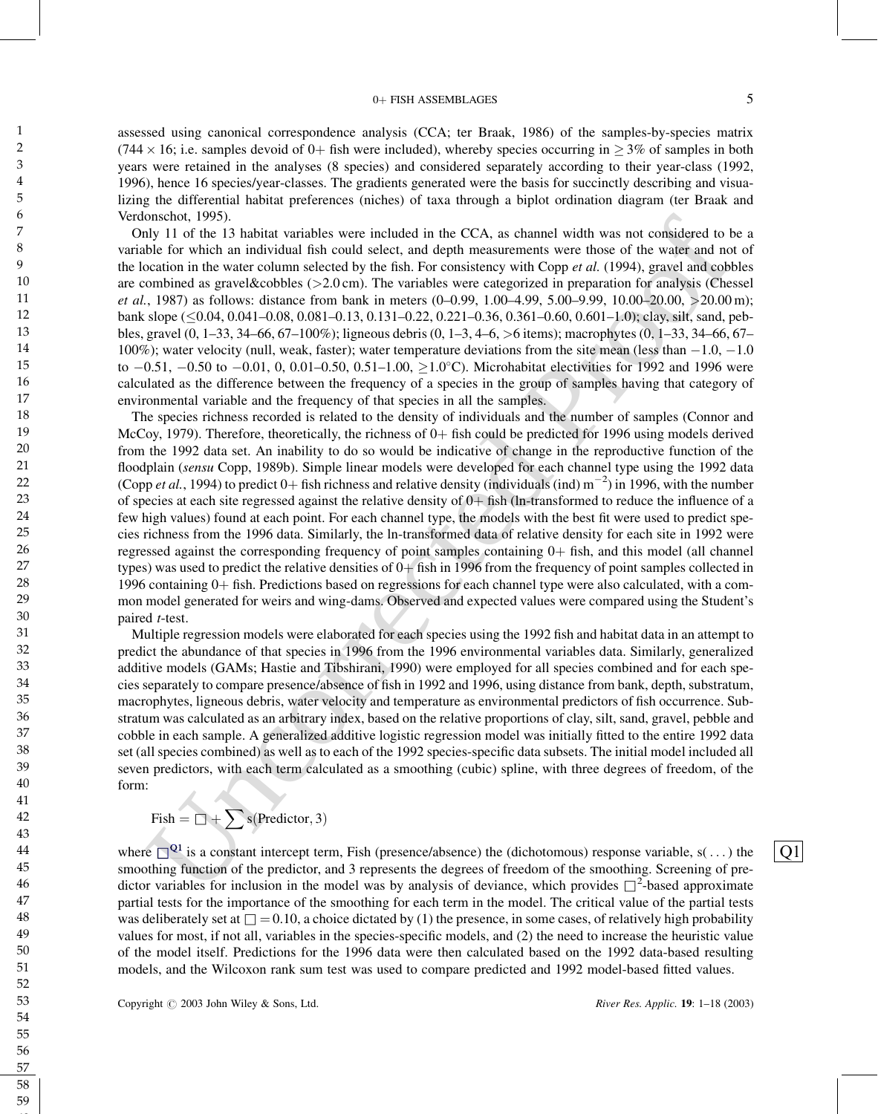### 0+ FISH ASSEMBLAGES 5

assessed using canonical correspondence analysis (CCA; ter Braak, 1986) of the samples-by-species matrix (744  $\times$  16; i.e. samples devoid of 0+ fish were included), whereby species occurring in  $\geq$  3% of samples in both years were retained in the analyses (8 species) and considered separately according to their year-class (1992, 1996), hence 16 species/year-classes. The gradients generated were the basis for succinctly describing and visualizing the differential habitat preferences (niches) of taxa through a biplot ordination diagram (ter Braak and Verdonschot, 1995).

Only 11 of the 13 habitat variables were included in the CCA, as channel width was not considered to be a variable for which an individual fish could select, and depth measurements were those of the water and not of the location in the water column selected by the fish. For consistency with Copp *et al.* (1994), gravel and cobbles are combined as gravel&cobbles (>2.0 cm). The variables were categorized in preparation for analysis (Chessel et al., 1987) as follows: distance from bank in meters  $(0-0.99, 1.00-4.99, 5.00-9.99, 10.00-20.00, >20.00 \text{ m})$ ; bank slope (<0.04, 0.041–0.08, 0.081–0.13, 0.131–0.22, 0.221–0.36, 0.361–0.60, 0.601–1.0); clay, silt, sand, pebbles, gravel (0, 1–33, 34–66, 67–100%); ligneous debris (0, 1–3, 4–6, >6 items); macrophytes (0, 1–33, 34–66, 67– 100%); water velocity (null, weak, faster); water temperature deviations from the site mean (less than  $-1.0, -1.0$ to  $-0.51$ ,  $-0.50$  to  $-0.01$ , 0, 0.01 $-0.50$ , 0.51 $-1.00$ ,  $\geq 1.0^{\circ}$ C). Microhabitat electivities for 1992 and 1996 were calculated as the difference between the frequency of a species in the group of samples having that category of environmental variable and the frequency of that species in all the samples.

onside. 1995). In abitur variables were included in the CCA, as channel width was not considered to be<br>the lot of which an infviolval list could select, and depth measurements were those of the walche of which an infviolv The species richness recorded is related to the density of individuals and the number of samples (Connor and McCoy, 1979). Therefore, theoretically, the richness of  $0+$  fish could be predicted for 1996 using models derived from the 1992 data set. An inability to do so would be indicative of change in the reproductive function of the floodplain (sensu Copp, 1989b). Simple linear models were developed for each channel type using the 1992 data (Copp et al., 1994) to predict 0+ fish richness and relative density (individuals (ind)  $m^{-2}$ ) in 1996, with the number of species at each site regressed against the relative density of  $0+$  fish (ln-transformed to reduce the influence of a few high values) found at each point. For each channel type, the models with the best fit were used to predict species richness from the 1996 data. Similarly, the ln-transformed data of relative density for each site in 1992 were regressed against the corresponding frequency of point samples containing  $0+$  fish, and this model (all channel types) was used to predict the relative densities of  $0+$  fish in 1996 from the frequency of point samples collected in 1996 containing  $0+$  fish. Predictions based on regressions for each channel type were also calculated, with a common model generated for weirs and wing-dams. Observed and expected values were compared using the Student's paired t-test.

<span id="page-4-0"></span>Multiple regression models were elaborated for each species using the 1992 fish and habitat data in an attempt to predict the abundance of that species in 1996 from the 1996 environmental variables data. Similarly, generalized additive models (GAMs; Hastie and Tibshirani, 1990) were employed for all species combined and for each species separately to compare presence/absence of fish in 1992 and 1996, using distance from bank, depth, substratum, macrophytes, ligneous debris, water velocity and temperature as environmental predictors of fish occurrence. Substratum was calculated as an arbitrary index, based on the relative proportions of clay, silt, sand, gravel, pebble and cobble in each sample. A generalized additive logistic regression model was initially fitted to the entire 1992 data set (all species combined) as well as to each of the 1992 species-specific data subsets. The initial model included all seven predictors, with each term calculated as a smoothing (cubic) spline, with three degrees of freedom, of the form:

$$
\text{Fish} = \Box + \sum s(\text{Predictor}, 3)
$$

where  $\Box^{\mathbf{Q1}}$  is a constant intercept term, Fish (presence/absence) the (dichotomous) response variable, s(...) the smoothing function of the predictor, and 3 represents the degrees of freedom of the smoothing. Screening of predictor variables for inclusion in the model was by analysis of deviance, which provides  $\Box^2$ -based approximate partial tests for the importance of the smoothing for each term in the model. The critical value of the partial tests was deliberately set at  $\Box = 0.10$ , a choice dictated by (1) the presence, in some cases, of relatively high probability values for most, if not all, variables in the species-specific models, and (2) the need to increase the heuristic value of the model itself. Predictions for the 1996 data were then calculated based on the 1992 data-based resulting models, and the Wilcoxon rank sum test was used to compare predicted and 1992 model-based fitted values.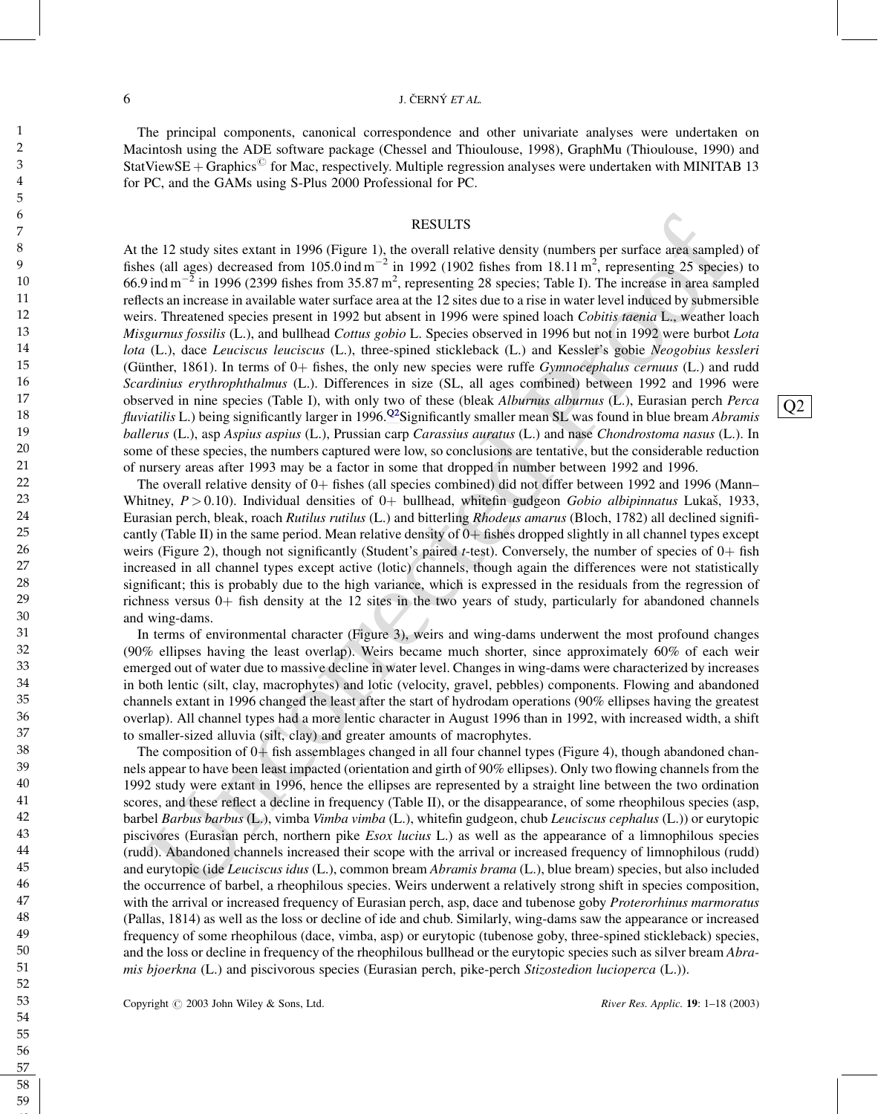#### <span id="page-5-0"></span> $\overrightarrow{0}$  J. C̆ERNÝ *ET AL.*

The principal components, canonical correspondence and other univariate analyses were undertaken on Macintosh using the ADE software package (Chessel and Thioulouse, 1998), GraphMu (Thioulouse, 1990) and StatViewSE + Graphics<sup> $\degree$ </sup> for Mac, respectively. Multiple regression analyses were undertaken with MINITAB 13 for PC, and the GAMs using S-Plus 2000 Professional for PC.

#### RESULTS

RESULTS<br>
RESULTS<br>
TRESULTS<br>
NEVERTO CREATE TRANSPORTED TRANSPORTED TRANSPORTED TRANSPORTED TRANSPORTED TRANSPORTED TRANSPORTED TRANSPORTED TRANSPORTED TRANSPORTED TRANSPORTED TRANSPORTED TRANSPORTED TRANSPORTED TRANSPORTE At the 12 study sites extant in 1996 (Figure 1), the overall relative density (numbers per surface area sampled) of fishes (all ages) decreased from 105.0 ind  $m^{-2}$  in 1992 (1902 fishes from 18.11  $m^2$ , representing 25 species) to 66.9 ind  $m^{-2}$  in 1996 (2399 fishes from 35.87 m<sup>2</sup>, representing 28 species; Table I). The increase in area sampled reflects an increase in available water surface area at the 12 sites due to a rise in water level induced by submersible weirs. Threatened species present in 1992 but absent in 1996 were spined loach Cobitis taenia L., weather loach Misgurnus fossilis (L.), and bullhead Cottus gobio L. Species observed in 1996 but not in 1992 were burbot Lota lota (L.), dace Leuciscus leuciscus (L.), three-spined stickleback (L.) and Kessler's gobie Neogobius kessleri (Günther, 1861). In terms of  $0+$  fishes, the only new species were ruffe *Gymnocephalus cernuus* (L.) and rudd Scardinius erythrophthalmus (L.). Differences in size (SL, all ages combined) between 1992 and 1996 were observed in nine species (Table I), with only two of these (bleak Alburnus alburnus (L.), Eurasian perch Perca fluviatilis L.) being significantly larger in 1996.<sup>Q2</sup>Significantly smaller mean SL was found in blue bream Abramis ballerus (L.), asp Aspius aspius (L.), Prussian carp Carassius auratus (L.) and nase Chondrostoma nasus (L.). In some of these species, the numbers captured were low, so conclusions are tentative, but the considerable reduction of nursery areas after 1993 may be a factor in some that dropped in number between 1992 and 1996.

The overall relative density of  $0+$  fishes (all species combined) did not differ between 1992 and 1996 (Mann– Whitney,  $P > 0.10$ ). Individual densities of 0+ bullhead, whitefin gudgeon Gobio albipinnatus Lukaš, 1933, Eurasian perch, bleak, roach Rutilus rutilus (L.) and bitterling Rhodeus amarus (Bloch, 1782) all declined significantly (Table II) in the same period. Mean relative density of  $0+$  fishes dropped slightly in all channel types except weirs (Figure 2), though not significantly (Student's paired t-test). Conversely, the number of species of  $0+$  fish increased in all channel types except active (lotic) channels, though again the differences were not statistically significant; this is probably due to the high variance, which is expressed in the residuals from the regression of richness versus  $0+$  fish density at the 12 sites in the two years of study, particularly for abandoned channels and wing-dams.

In terms of environmental character (Figure 3), weirs and wing-dams underwent the most profound changes (90% ellipses having the least overlap). Weirs became much shorter, since approximately 60% of each weir emerged out of water due to massive decline in water level. Changes in wing-dams were characterized by increases in both lentic (silt, clay, macrophytes) and lotic (velocity, gravel, pebbles) components. Flowing and abandoned channels extant in 1996 changed the least after the start of hydrodam operations (90% ellipses having the greatest overlap). All channel types had a more lentic character in August 1996 than in 1992, with increased width, a shift to smaller-sized alluvia (silt, clay) and greater amounts of macrophytes.

The composition of  $0+$  fish assemblages changed in all four channel types (Figure 4), though abandoned channels appear to have been least impacted (orientation and girth of 90% ellipses). Only two flowing channels from the 1992 study were extant in 1996, hence the ellipses are represented by a straight line between the two ordination scores, and these reflect a decline in frequency (Table II), or the disappearance, of some rheophilous species (asp, barbel Barbus barbus (L.), vimba Vimba vimba (L.), whitefin gudgeon, chub Leuciscus cephalus (L.)) or eurytopic piscivores (Eurasian perch, northern pike Esox lucius L.) as well as the appearance of a limnophilous species (rudd). Abandoned channels increased their scope with the arrival or increased frequency of limnophilous (rudd) and eurytopic (ide Leuciscus idus (L.), common bream Abramis brama (L.), blue bream) species, but also included the occurrence of barbel, a rheophilous species. Weirs underwent a relatively strong shift in species composition, with the arrival or increased frequency of Eurasian perch, asp, dace and tubenose goby Proterorhinus marmoratus (Pallas, 1814) as well as the loss or decline of ide and chub. Similarly, wing-dams saw the appearance or increased frequency of some rheophilous (dace, vimba, asp) or eurytopic (tubenose goby, three-spined stickleback) species, and the loss or decline in frequency of the rheophilous bullhead or the eurytopic species such as silver bream Abramis bjoerkna (L.) and piscivorous species (Eurasian perch, pike-perch Stizostedion lucioperca (L.)).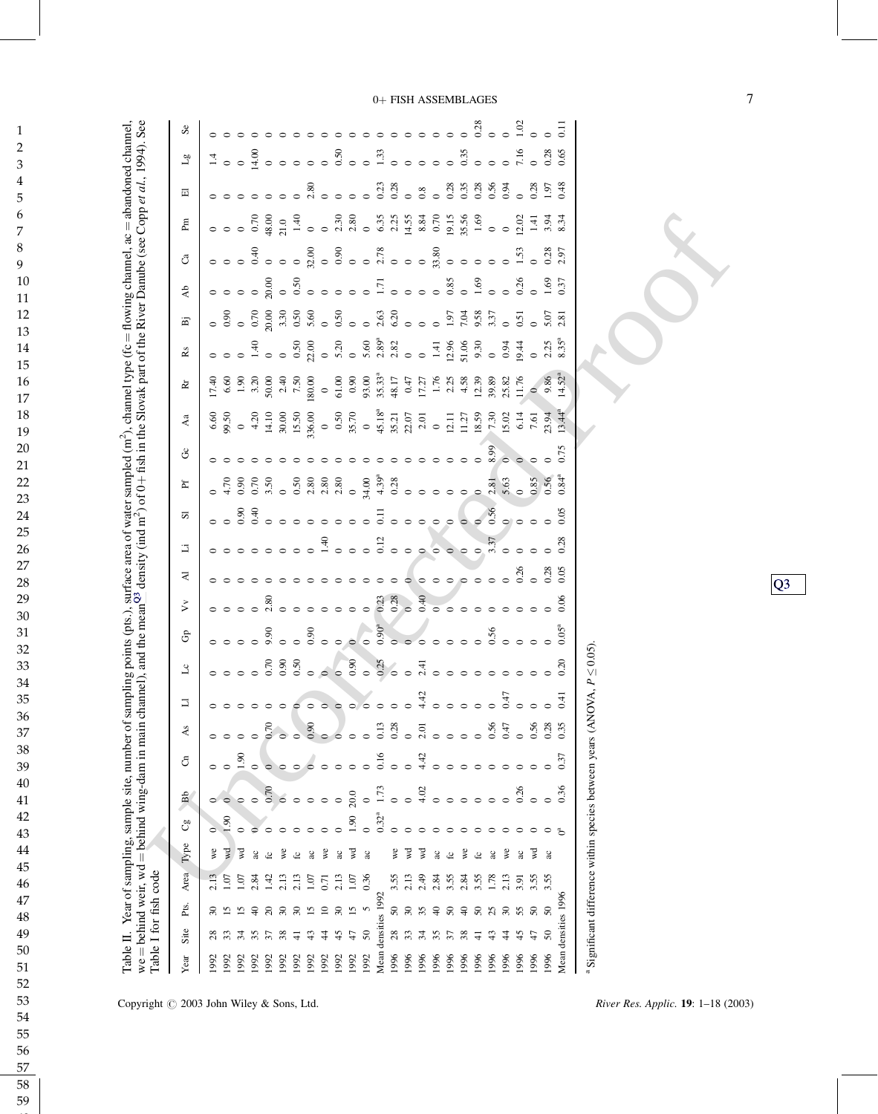<span id="page-6-0"></span>

| ĺ<br>$\overline{\phantom{a}}$ | i | $ve = be$ . | $\frac{1}{2}$<br>d<br>$h$ annel, $ac = ab$ ano<br>$type$ ( $tc = flow$ ) in $ct$<br>-------<br>$\sim$ $\sim$ $\sim$ $\sim$ $\sim$<br>ĭ<br>$-1$<br>١<br>i<br>ia na<br>۰<br>۹<br>$\frac{1}{2}$ | å<br>$\frac{4}{2}$<br>רי היי המדינה ה<br>$-1 + 6$ ch in the Slovak nart of the Kiver $-1$<br>اعہ (ے معدل ک<br>$-0.001$<br>$\ddot{\phantom{0}}$<br>ļ<br>į<br>.<br>יינויים |  |
|-------------------------------|---|-------------|----------------------------------------------------------------------------------------------------------------------------------------------------------------------------------------------|--------------------------------------------------------------------------------------------------------------------------------------------------------------------------|--|
|                               |   |             |                                                                                                                                                                                              |                                                                                                                                                                          |  |

| Se                                                                                                                                                                                                                                    | 000800000                                                                                   |
|---------------------------------------------------------------------------------------------------------------------------------------------------------------------------------------------------------------------------------------|---------------------------------------------------------------------------------------------|
| $\overline{\tau}$                                                                                                                                                                                                                     |                                                                                             |
| 囸                                                                                                                                                                                                                                     |                                                                                             |
| Æ                                                                                                                                                                                                                                     |                                                                                             |
| e di se di se di secondo di secondo di secondo di secondo di secondo di secondo di secondo di secondo di secon<br>La di secondo di secondo di secondo di secondo di secondo di secondo di secondo di secondo di secondo di secon<br>් |                                                                                             |
| $\mathbf{A}$                                                                                                                                                                                                                          |                                                                                             |
| e s Rogramo s calendario s superioris superioris superioris superioris superioris superioris superioris superi<br>S Rogramo se superioris superioris superioris superioris superioris superioris superioris superioris superiori<br>Ä |                                                                                             |
| $\mathbf{\hat{R}}\mathbf{\hat{s}}$                                                                                                                                                                                                    |                                                                                             |
| ğ                                                                                                                                                                                                                                     |                                                                                             |
| Aa                                                                                                                                                                                                                                    |                                                                                             |
| ŏ                                                                                                                                                                                                                                     |                                                                                             |
|                                                                                                                                                                                                                                       |                                                                                             |
| odici di sulla di stato di stato di stato di stato di stato di stato di stato di stato di stato di stato<br>Cita di stato di stato di stato di stato di stato di stato di stato di stato di stato di stato di stato di sta<br>置       |                                                                                             |
| $\overline{\phantom{a}}\phantom{a}$<br>5                                                                                                                                                                                              |                                                                                             |
| コ                                                                                                                                                                                                                                     |                                                                                             |
| ⋜                                                                                                                                                                                                                                     |                                                                                             |
| ゞ                                                                                                                                                                                                                                     | $\circ$ $\circ$                                                                             |
| $\mathbb{G}^{\mathsf{D}}$                                                                                                                                                                                                             |                                                                                             |
| $\mathcal{F}$                                                                                                                                                                                                                         |                                                                                             |
| 442<br>コ                                                                                                                                                                                                                              | 64                                                                                          |
| Ås                                                                                                                                                                                                                                    | 0.35<br>$0.56$<br>$0.47$<br>$0.56$                                                          |
| 0.16<br>4.42<br>රි<br>$\frac{5}{1}$<br>$\circ$                                                                                                                                                                                        | 0.37                                                                                        |
| 1.73<br>4.02<br>0.7(<br>20.0<br>$\mathbf{B}$<br>$\circ$<br>$\circ$<br>$\circ$<br>$\circ$                                                                                                                                              | Significant difference within species between years (ANOVA, $P \leq 0.05$ )<br>0.36<br>0.26 |
| $0.32^{a}$<br>1.90<br>60<br>ಲಿ                                                                                                                                                                                                        |                                                                                             |
| Type<br>we<br>γÁ<br>š<br>इ<br>₽€<br>इ<br>ू<br>ac<br>2c<br>ac<br>ू<br>$\alpha$<br>ڃ<br>£                                                                                                                                               | γđ<br>$\approx$<br>уe<br>ac<br>ac<br>æ<br>ac<br>S<br>£                                      |
| Area<br>0.36<br>3.55<br>2.13<br>2.49<br>1.07<br>1.42<br>2.13<br>2.13<br>2.13<br>1.07<br>1.07<br>2.84<br>1.07<br>0.71                                                                                                                  | 3.55<br>3.55<br>2.84<br>3.55<br>2.84<br>1.78<br>2.13<br>3.55<br>3.91                        |
| Table I for fish code<br>Pts.<br>$50\,$<br>30<br>35<br>S<br>$\overline{\mathcal{E}}$<br>S<br>51<br>51                                                                                                                                 | Mean densities 1996<br>$\Theta$<br>$50\,$<br>$\Theta$<br>$50\,$<br>2<br>వె                  |
| densities 1992<br>Site<br>287.3<br>$\sqrt{5}$<br>45<br>$\ddot{t}$<br>$^{28}$<br>$\mathcal{L}$<br>38<br>$\ddot{ }$<br>\$<br>$\mathcal{L}$<br>두                                                                                         | 35<br>38<br>43<br>$\ddot{t}$<br>57<br>\$<br>₹                                               |
| Mean<br>1996<br>1992<br>1992<br>1992<br>1992<br>1996<br>Year<br>1992<br>1996<br>1992<br>1992<br>1992<br>1992<br>1992<br>1992<br>1992                                                                                                  | 1996<br>1996<br>1996<br>1996<br>1996<br>1996<br>1996<br>1996<br>1996                        |

pyright  $\odot$  2003 John Wiley & Sons, Ltd. River Res. Applic. 19: 1–18 (2003)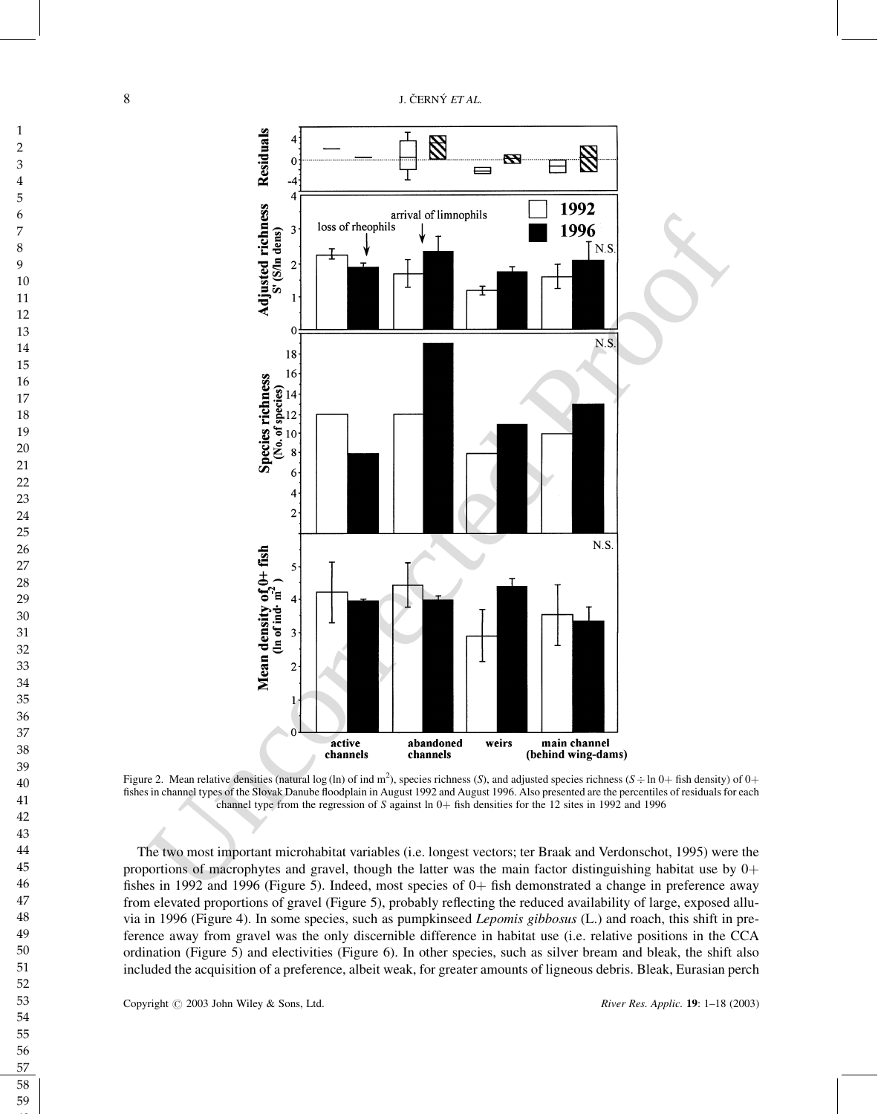

Figure 2. Mean relative densities (natural log (ln) of ind m<sup>2</sup>), species richness (S), and adjusted species richness (S  $\div$  ln 0+ fish density) of 0+ fishes in channel types of the Slovak Danube floodplain in August 1992 and August 1996. Also presented are the percentiles of residuals for each channel type from the regression of S against ln  $0+$  fish densities for the 12 sites in 1992 and 1996

The two most important microhabitat variables (i.e. longest vectors; ter Braak and Verdonschot, 1995) were the proportions of macrophytes and gravel, though the latter was the main factor distinguishing habitat use by  $0+$ fishes in 1992 and 1996 (Figure 5). Indeed, most species of  $0+$  fish demonstrated a change in preference away from elevated proportions of gravel (Figure 5), probably reflecting the reduced availability of large, exposed alluvia in 1996 (Figure 4). In some species, such as pumpkinseed Lepomis gibbosus (L.) and roach, this shift in preference away from gravel was the only discernible difference in habitat use (i.e. relative positions in the CCA ordination (Figure 5) and electivities (Figure 6). In other species, such as silver bream and bleak, the shift also included the acquisition of a preference, albeit weak, for greater amounts of ligneous debris. Bleak, Eurasian perch

Copyright  $\oslash$  2003 John Wiley & Sons, Ltd. River Res. Applic. 19: 1–18 (2003)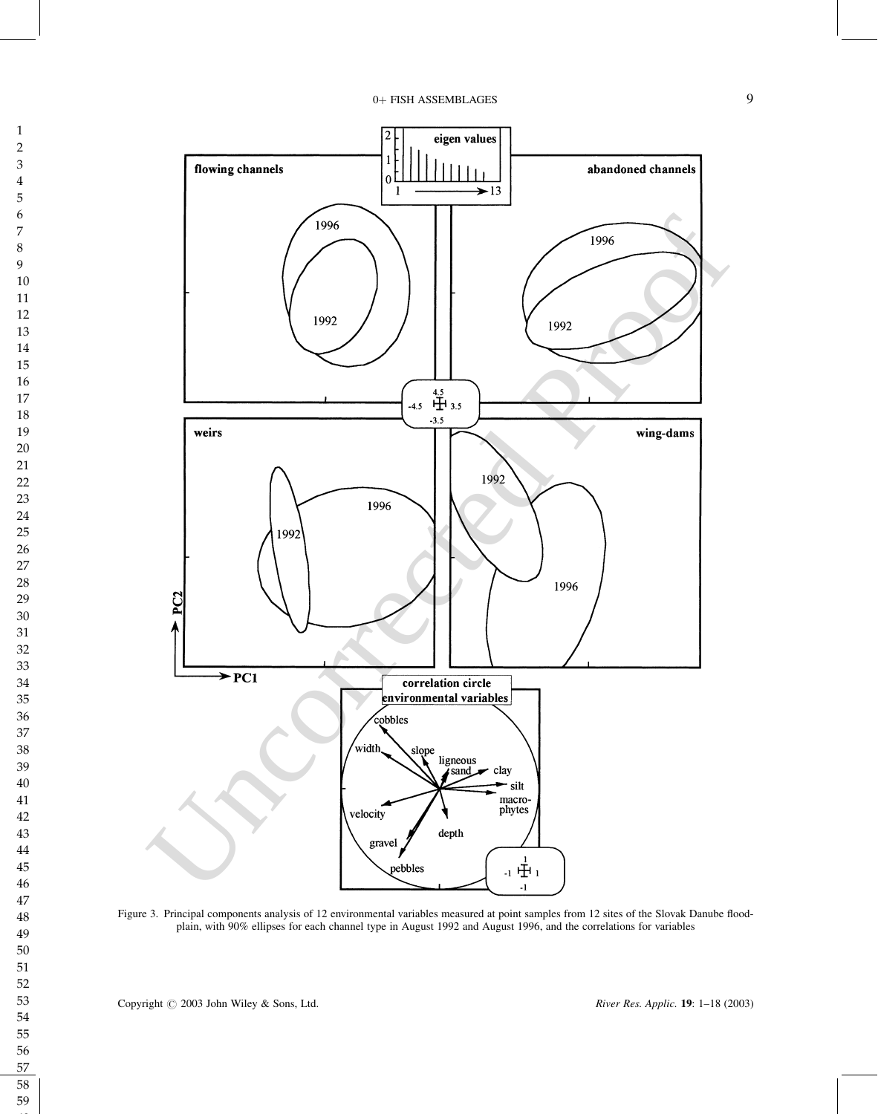

Figure 3. Principal components analysis of 12 environmental variables measured at point samples from 12 sites of the Slovak Danube floodplain, with 90% ellipses for each channel type in August 1992 and August 1996, and the correlations for variables

Copyright  $\odot$  2003 John Wiley & Sons, Ltd. River Res. Applic. 19: 1–18 (2003)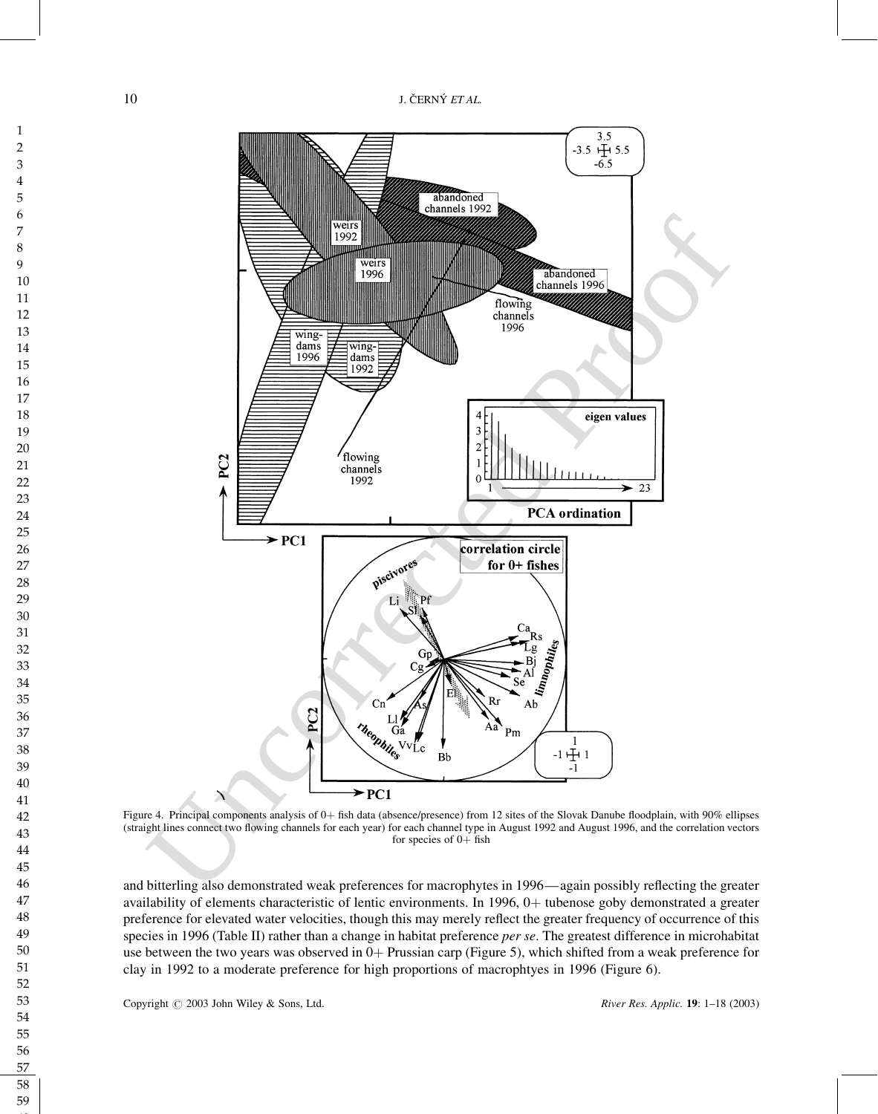

Figure 4. Principal components analysis of 0+ fish data (absence/presence) from 12 sites of the Slovak Danube floodplain, with 90% ellipses (straight lines connect two flowing channels for each year) for each channel type in August 1992 and August 1996, and the correlation vectors for species of  $0+$  fish

and bitterling also demonstrated weak preferences for macrophytes in 1996—again possibly reflecting the greater availability of elements characteristic of lentic environments. In 1996, 0+ tubenose goby demonstrated a greater preference for elevated water velocities, though this may merely reflect the greater frequency of occurrence of this species in 1996 (Table II) rather than a change in habitat preference per se. The greatest difference in microhabitat use between the two years was observed in  $0+$  Prussian carp (Figure 5), which shifted from a weak preference for clay in 1992 to a moderate preference for high proportions of macrophtyes in 1996 (Figure 6).

Copyright  $\odot$  2003 John Wiley & Sons, Ltd. River Res. Applic. 19: 1–18 (2003)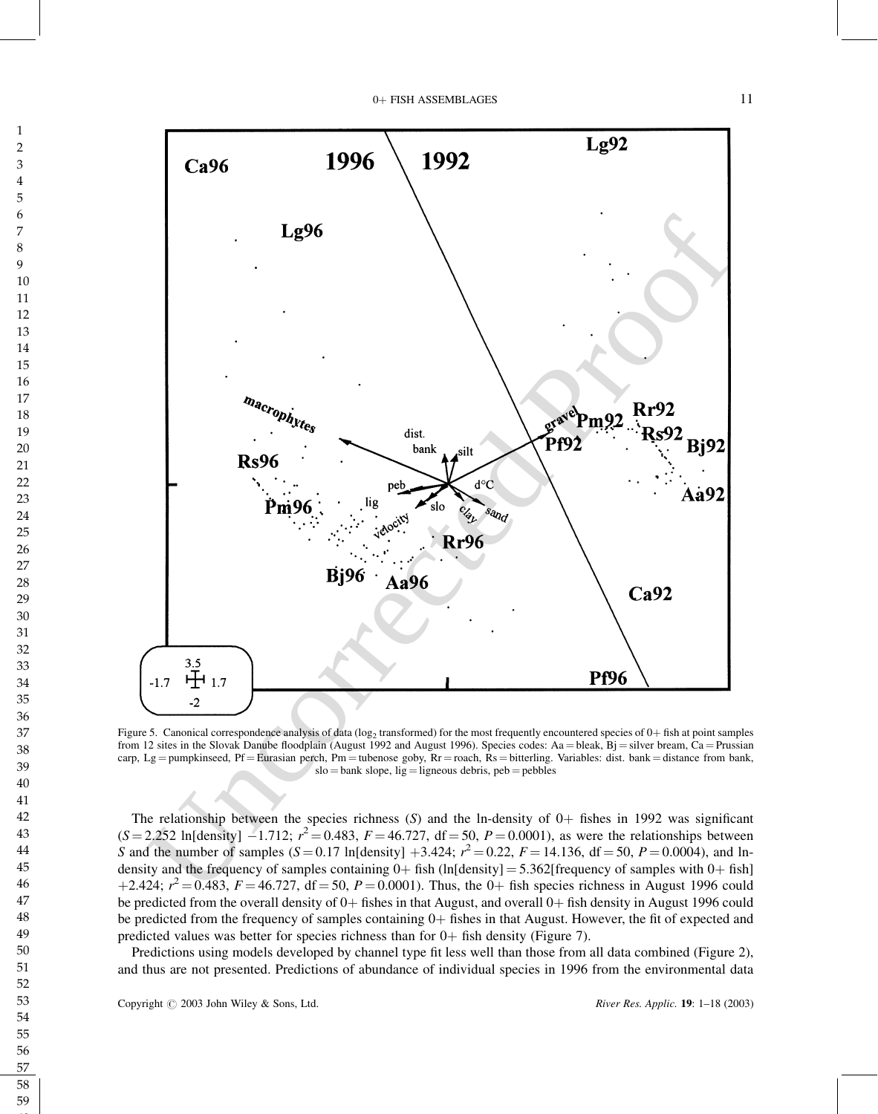

Figure 5. Canonical correspondence analysis of data (log<sub>2</sub> transformed) for the most frequently encountered species of  $0+$  fish at point samples from 12 sites in the Slovak Danube floodplain (August 1992 and August 1996). Species codes: Aa = bleak, Bj = silver bream, Ca = Prussian carp, Lg = pumpkinseed, Pf = Eurasian perch, Pm = tubenose goby,  $\overline{R}r$  = roach,  $\overline{R}s$  = bitterling. Variables: dist. bank = distance from bank,  $slo = bank slope$ , lig = ligneous debris, peb = pebbles

The relationship between the species richness  $(S)$  and the ln-density of  $0+$  fishes in 1992 was significant  $(S = 2.252 \text{ In} [\text{density}] - 1.712; r^2 = 0.483, F = 46.727, df = 50, P = 0.0001$ , as were the relationships between S and the number of samples  $(S = 0.17 \text{ ln}[density] + 3.424; r^2 = 0.22, F = 14.136, df = 50, P = 0.0004)$ , and lndensity and the frequency of samples containing  $0+$  fish (ln[density] = 5.362[frequency of samples with  $0+$  fish] +2.424;  $r^2 = 0.483$ ,  $F = 46.727$ , df = 50,  $P = 0.0001$ ). Thus, the 0+ fish species richness in August 1996 could be predicted from the overall density of  $0+$  fishes in that August, and overall  $0+$  fish density in August 1996 could be predicted from the frequency of samples containing  $0+$  fishes in that August. However, the fit of expected and predicted values was better for species richness than for  $0+$  fish density (Figure 7).

Predictions using models developed by channel type fit less well than those from all data combined (Figure 2), and thus are not presented. Predictions of abundance of individual species in 1996 from the environmental data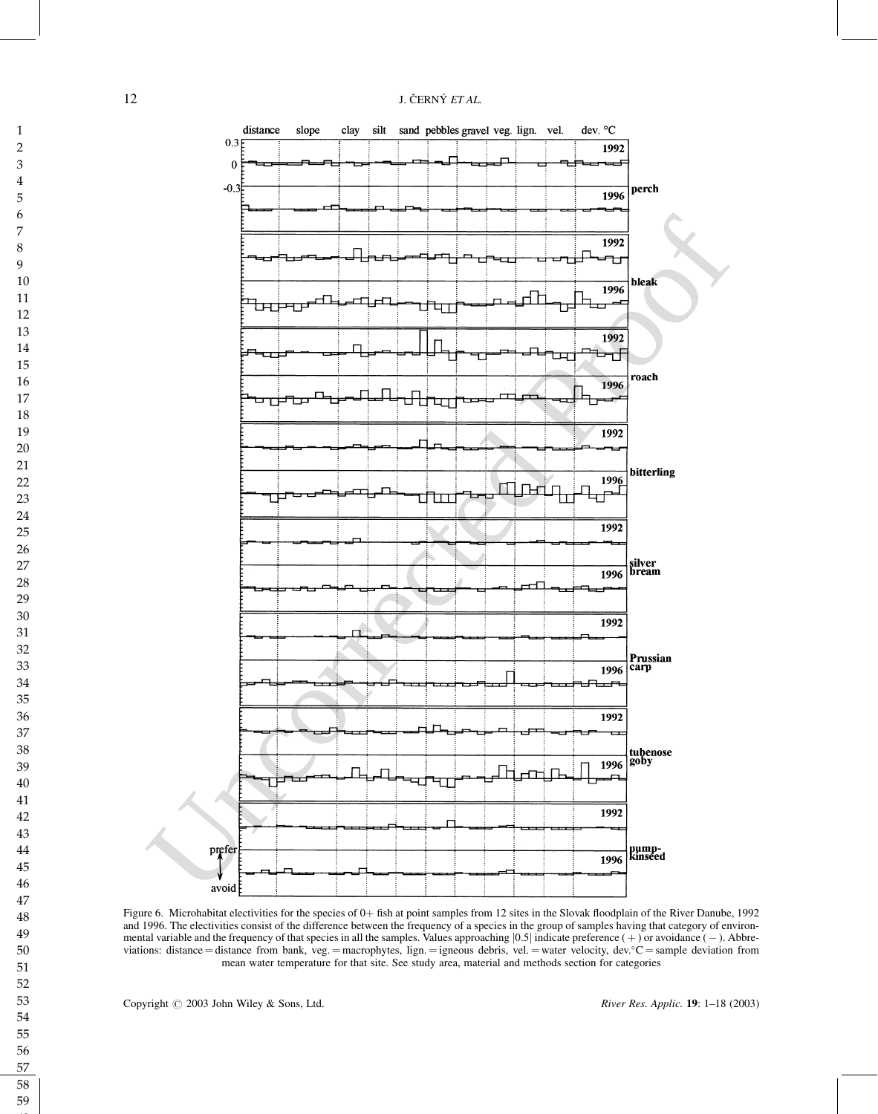

Figure 6. Microhabitat electivities for the species of 0+ fish at point samples from 12 sites in the Slovak floodplain of the River Danube, 1992 and 1996. The electivities consist of the difference between the frequency of a species in the group of samples having that category of environmental variable and the frequency of that species in all the samples. Values approaching  $|0.5|$  indicate preference  $(+)$  or avoidance  $(-)$ . Abbreviations: distance = distance from bank, veg. = macrophytes, lign. = igneous debris, vel. = water velocity, dev.  $c =$  sample deviation from mean water temperature for that site. See study area, material and methods section for categories

Copyright  $\odot$  2003 John Wiley & Sons, Ltd. River Res. Applic. 19: 1–18 (2003)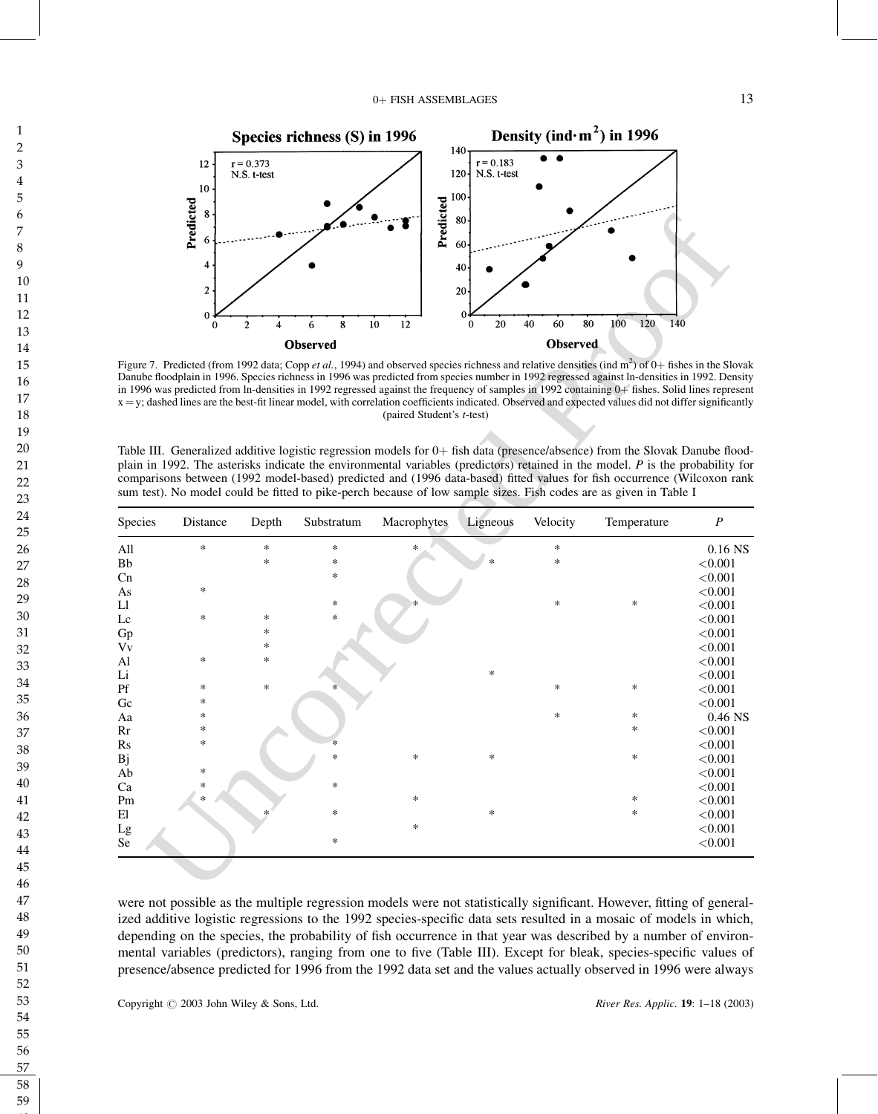

Figure 7. Predicted (from 1992 data; Copp et al., 1994) and observed species richness and relative densities (ind m<sup>2</sup>) of 0+ fishes in the Slovak Danube floodplain in 1996. Species richness in 1996 was predicted from species number in 1992 regressed against ln-densities in 1992. Density in 1996 was predicted from ln-densities in 1992 regressed against the frequency of samples in 1992 containing 0+ fishes. Solid lines represent  $x = y$ ; dashed lines are the best-fit linear model, with correlation coefficients indicated. Observed and expected values did not differ significantly (paired Student's t-test)

Table III. Generalized additive logistic regression models for  $0+$  fish data (presence/absence) from the Slovak Danube floodplain in 1992. The asterisks indicate the environmental variables (predictors) retained in the model.  $P$  is the probability for comparisons between (1992 model-based) predicted and (1996 data-based) fitted values for fish occurrence (Wilcoxon rank sum test). No model could be fitted to pike-perch because of low sample sizes. Fish codes are as given in Table I

|          | 4<br>$\mathbf{2}$<br>$\bf{0}$ |                   |                 |                                   | 40<br>20<br>$\theta$ |                            |                                                                                                                                                                                                                                                                                                                                                                                                                                                                                                                  |                    |
|----------|-------------------------------|-------------------|-----------------|-----------------------------------|----------------------|----------------------------|------------------------------------------------------------------------------------------------------------------------------------------------------------------------------------------------------------------------------------------------------------------------------------------------------------------------------------------------------------------------------------------------------------------------------------------------------------------------------------------------------------------|--------------------|
|          | $\mathbf{0}$                  | $\mathbf{2}$<br>4 | $\bf 8$<br>6    | 10<br>12                          | 20<br>0              | 40<br>60<br>80<br>Observed | 100<br>120<br>140                                                                                                                                                                                                                                                                                                                                                                                                                                                                                                |                    |
|          |                               |                   | <b>Observed</b> |                                   |                      |                            | Figure 7. Predicted (from 1992 data; Copp et al., 1994) and observed species richness and relative densities (ind m <sup>2</sup> ) of $0+$ fishes in the Slovak                                                                                                                                                                                                                                                                                                                                                  |                    |
|          |                               |                   |                 | (paired Student's <i>t</i> -test) |                      |                            | Danube floodplain in 1996. Species richness in 1996 was predicted from species number in 1992 regressed against ln-densities in 1992. Density<br>in 1996 was predicted from ln-densities in 1992 regressed against the frequency of samples in 1992 containing 0+ fishes. Solid lines represent<br>x = y; dashed lines are the best-fit linear model, with correlation coefficients indicated. Observed and expected values did not differ significantly                                                         |                    |
|          |                               |                   |                 |                                   |                      |                            | Table III. Generalized additive logistic regression models for 0+ fish data (presence/absence) from the Slovak Danube flood-<br>plain in 1992. The asterisks indicate the environmental variables (predictors) retained in the model. $P$ is the probability for<br>comparisons between (1992 model-based) predicted and (1996 data-based) fitted values for fish occurrence (Wilcoxon rank<br>sum test). No model could be fitted to pike-perch because of low sample sizes. Fish codes are as given in Table I |                    |
| Species  | Distance                      | Depth             | Substratum      | Macrophytes                       | Ligneous             | Velocity                   | Temperature                                                                                                                                                                                                                                                                                                                                                                                                                                                                                                      | $\overline{P}$     |
| All      | $\ast$                        | $\ast$            | *               | *                                 |                      | *                          |                                                                                                                                                                                                                                                                                                                                                                                                                                                                                                                  | $0.16$ NS          |
| Bb       |                               | *                 | *               |                                   |                      | *                          |                                                                                                                                                                                                                                                                                                                                                                                                                                                                                                                  | < 0.001            |
| Cn       |                               |                   | *               |                                   |                      |                            |                                                                                                                                                                                                                                                                                                                                                                                                                                                                                                                  | < 0.001            |
|          |                               |                   |                 |                                   |                      |                            |                                                                                                                                                                                                                                                                                                                                                                                                                                                                                                                  | < 0.001            |
| As       | ∗                             |                   |                 |                                   |                      |                            |                                                                                                                                                                                                                                                                                                                                                                                                                                                                                                                  |                    |
| Ll       |                               |                   | *               |                                   |                      | $\ast$                     | ∗                                                                                                                                                                                                                                                                                                                                                                                                                                                                                                                | < 0.001            |
| Lc       | $\ast$                        | ∗                 | $\ast$          |                                   |                      |                            |                                                                                                                                                                                                                                                                                                                                                                                                                                                                                                                  | < 0.001            |
| Gp       |                               | ∗                 |                 |                                   |                      |                            |                                                                                                                                                                                                                                                                                                                                                                                                                                                                                                                  | < 0.001            |
| Vv       |                               | ∗                 |                 |                                   |                      |                            |                                                                                                                                                                                                                                                                                                                                                                                                                                                                                                                  | < 0.001            |
| Al       | $\ast$                        | $\ast$            |                 |                                   |                      |                            |                                                                                                                                                                                                                                                                                                                                                                                                                                                                                                                  | < 0.001            |
| Li       |                               |                   |                 |                                   | $\ast$               |                            |                                                                                                                                                                                                                                                                                                                                                                                                                                                                                                                  | < 0.001            |
| Pf       | ∗                             | *                 |                 |                                   |                      | $\ast$                     | ∗                                                                                                                                                                                                                                                                                                                                                                                                                                                                                                                | < 0.001            |
| Gc       | $\ast$                        |                   |                 |                                   |                      |                            |                                                                                                                                                                                                                                                                                                                                                                                                                                                                                                                  | < 0.001            |
| Aa       | $\ast$                        |                   |                 |                                   |                      | *                          | 柴                                                                                                                                                                                                                                                                                                                                                                                                                                                                                                                | $0.46$ NS          |
| Rr       | ∗                             |                   |                 |                                   |                      |                            | 柴                                                                                                                                                                                                                                                                                                                                                                                                                                                                                                                | < 0.001            |
| Rs       | ∗                             |                   |                 |                                   |                      |                            |                                                                                                                                                                                                                                                                                                                                                                                                                                                                                                                  | < 0.001            |
| Bj       |                               |                   | $\ast$          | *                                 | $\ast$               |                            | $\ast$                                                                                                                                                                                                                                                                                                                                                                                                                                                                                                           | < 0.001            |
| Ab       | $\ast$                        |                   |                 |                                   |                      |                            |                                                                                                                                                                                                                                                                                                                                                                                                                                                                                                                  | < 0.001            |
| Ca       | $\ast$                        |                   | 火               |                                   |                      |                            |                                                                                                                                                                                                                                                                                                                                                                                                                                                                                                                  | < 0.001            |
| Pm       | $\ast$                        |                   |                 | $\ast$                            |                      |                            | 柴                                                                                                                                                                                                                                                                                                                                                                                                                                                                                                                | < 0.001            |
| El       |                               |                   | $\ast$          |                                   | *                    |                            | $\ast$                                                                                                                                                                                                                                                                                                                                                                                                                                                                                                           | < 0.001            |
| Lg<br>Se |                               |                   | *               | *                                 |                      |                            |                                                                                                                                                                                                                                                                                                                                                                                                                                                                                                                  | < 0.001<br>< 0.001 |

ized additive logistic regressions to the 1992 species-specific data sets resulted in a mosaic of models in which, depending on the species, the probability of fish occurrence in that year was described by a number of environmental variables (predictors), ranging from one to five (Table III). Except for bleak, species-specific values of presence/absence predicted for 1996 from the 1992 data set and the values actually observed in 1996 were always

Copyright  $\odot$  2003 John Wiley & Sons, Ltd. River Res. Applic. 19: 1–18 (2003)

58 59 **60**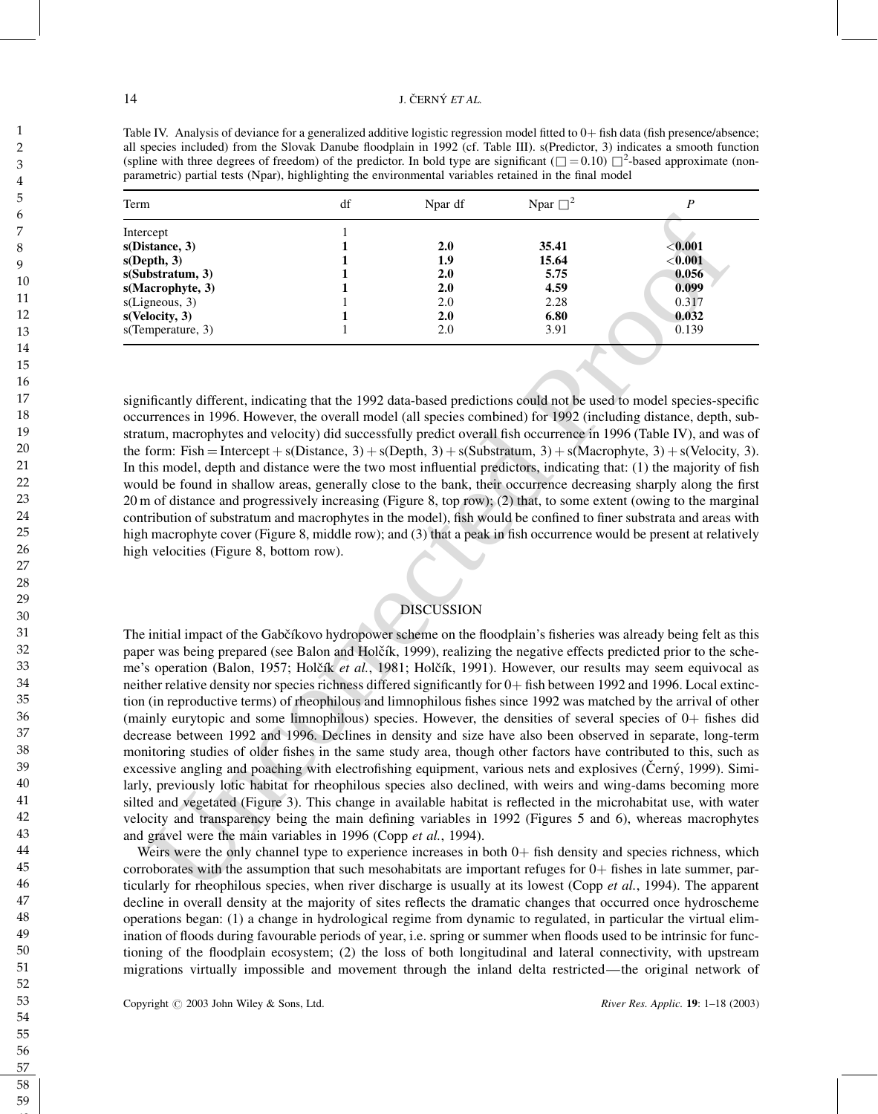Table IV. Analysis of deviance for a generalized additive logistic regression model fitted to  $0+$  fish data (fish presence/absence; all species included) from the Slovak Danube floodplain in 1992 (cf. Table III). s(Predictor, 3) indicates a smooth function (spline with three degrees of freedom) of the predictor. In bold type are significant ( $\Box = 0.10$ )  $\Box^2$ -based approximate (nonparametric) partial tests (Npar), highlighting the environmental variables retained in the final model

| Term              | df | Npar df | Npar $\square^2$ |             |
|-------------------|----|---------|------------------|-------------|
| Intercept         |    |         |                  |             |
| s(Distance, 3)    |    | 2.0     | 35.41            | $<$ $0.001$ |
| s(Depth, 3)       |    | 1.9     | 15.64            | < 0.001     |
| s(Substratum, 3)  |    | 2.0     | 5.75             | 0.056       |
| s(Macrophyte, 3)  |    | 2.0     | 4.59             | 0.099       |
| s(Ligneous, 3)    |    | 2.0     | 2.28             | 0.317       |
| s(Velocity, 3)    |    | 2.0     | 6.80             | 0.032       |
| s(Temperature, 3) |    | 2.0     | 3.91             | 0.139       |

significantly different, indicating that the 1992 data-based predictions could not be used to model species-specific occurrences in 1996. However, the overall model (all species combined) for 1992 (including distance, depth, substratum, macrophytes and velocity) did successfully predict overall fish occurrence in 1996 (Table IV), and was of the form: Fish = Intercept + s(Distance, 3) + s(Depth, 3) + s(Substratum, 3) + s(Macrophyte, 3) + s(Velocity, 3). In this model, depth and distance were the two most influential predictors, indicating that: (1) the majority of fish would be found in shallow areas, generally close to the bank, their occurrence decreasing sharply along the first 20 m of distance and progressively increasing (Figure 8, top row); (2) that, to some extent (owing to the marginal contribution of substratum and macrophytes in the model), fish would be confined to finer substrata and areas with high macrophyte cover (Figure 8, middle row); and (3) that a peak in fish occurrence would be present at relatively high velocities (Figure 8, bottom row).

## DISCUSSION

Lemanns, and the control of the same of the same of the same of the same of the same of the same of the same of the same of the same of the same of the same of the same of the same of the same of the same of the same of t The initial impact of the Gabčíkovo hydropower scheme on the floodplain's fisheries was already being felt as this paper was being prepared (see Balon and Holčík, 1999), realizing the negative effects predicted prior to the scheme's operation (Balon, 1957; Holčík et al., 1981; Holčík, 1991). However, our results may seem equivocal as neither relative density nor species richness differed significantly for  $0+$  fish between 1992 and 1996. Local extinction (in reproductive terms) of rheophilous and limnophilous fishes since 1992 was matched by the arrival of other (mainly eurytopic and some limnophilous) species. However, the densities of several species of  $0+$  fishes did decrease between 1992 and 1996. Declines in density and size have also been observed in separate, long-term monitoring studies of older fishes in the same study area, though other factors have contributed to this, such as excessive angling and poaching with electrofishing equipment, various nets and explosives (Cerný, 1999). Similarly, previously lotic habitat for rheophilous species also declined, with weirs and wing-dams becoming more silted and vegetated (Figure 3). This change in available habitat is reflected in the microhabitat use, with water velocity and transparency being the main defining variables in 1992 (Figures 5 and 6), whereas macrophytes and gravel were the main variables in 1996 (Copp et al., 1994).

Weirs were the only channel type to experience increases in both  $0+$  fish density and species richness, which corroborates with the assumption that such mesohabitats are important refuges for  $0+$  fishes in late summer, particularly for rheophilous species, when river discharge is usually at its lowest (Copp  $et al., 1994$ ). The apparent decline in overall density at the majority of sites reflects the dramatic changes that occurred once hydroscheme operations began: (1) a change in hydrological regime from dynamic to regulated, in particular the virtual elimination of floods during favourable periods of year, i.e. spring or summer when floods used to be intrinsic for functioning of the floodplain ecosystem; (2) the loss of both longitudinal and lateral connectivity, with upstream migrations virtually impossible and movement through the inland delta restricted—the original network of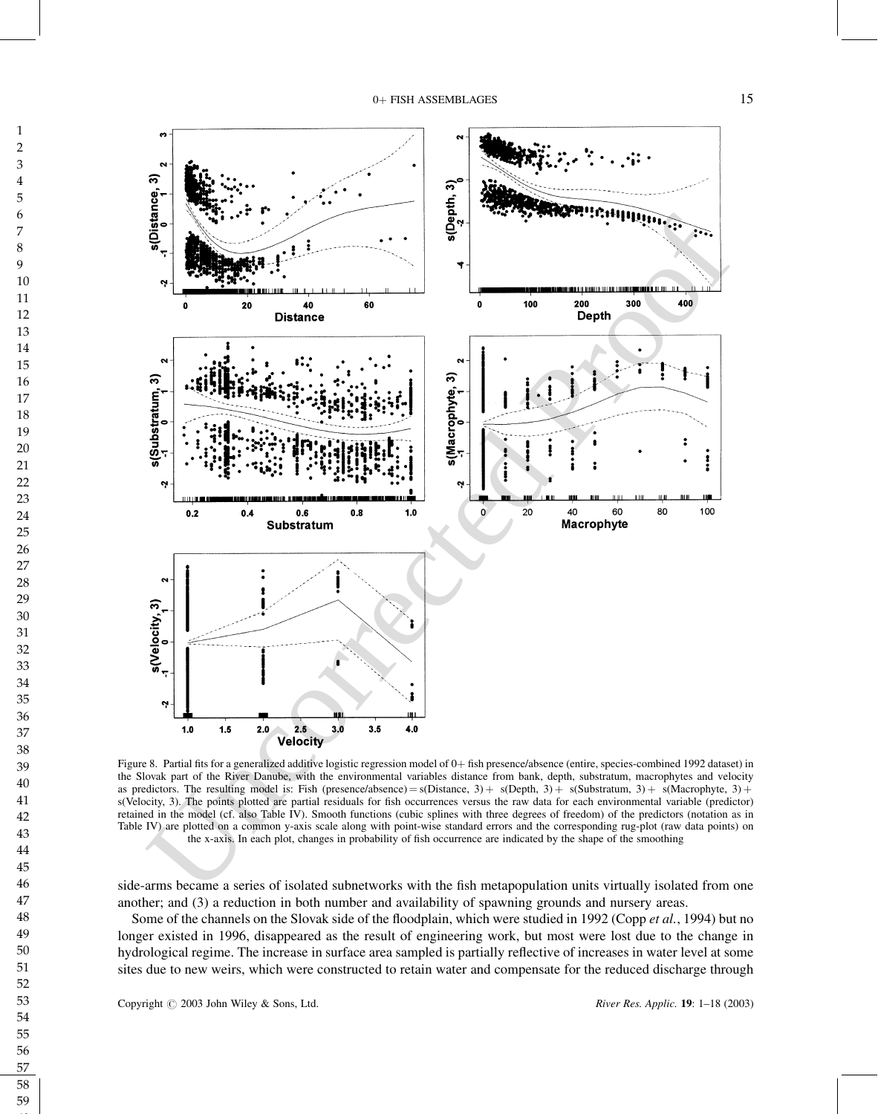

Figure 8. Partial fits for a generalized additive logistic regression model of 0+ fish presence/absence (entire, species-combined 1992 dataset) in the Slovak part of the River Danube, with the environmental variables distance from bank, depth, substratum, macrophytes and velocity as predictors. The resulting model is: Fish (presence/absence) = s(Distance, 3) + s(Depth, 3) + s(Substratum, 3) + s(Macrophyte, 3) + s(Velocity, 3). The points plotted are partial residuals for fish occurrences versus the raw data for each environmental variable (predictor) retained in the model (cf. also Table IV). Smooth functions (cubic splines with three degrees of freedom) of the predictors (notation as in Table IV) are plotted on a common y-axis scale along with point-wise standard errors and the corresponding rug-plot (raw data points) on the x-axis. In each plot, changes in probability of fish occurrence are indicated by the shape of the smoothing

side-arms became a series of isolated subnetworks with the fish metapopulation units virtually isolated from one

Some of the channels on the Slovak side of the floodplain, which were studied in 1992 (Copp et al., 1994) but no longer existed in 1996, disappeared as the result of engineering work, but most were lost due to the change in hydrological regime. The increase in surface area sampled is partially reflective of increases in water level at some sites due to new weirs, which were constructed to retain water and compensate for the reduced discharge through

Copyright  $\odot$  2003 John Wiley & Sons, Ltd. River Res. Applic. 19: 1–18 (2003)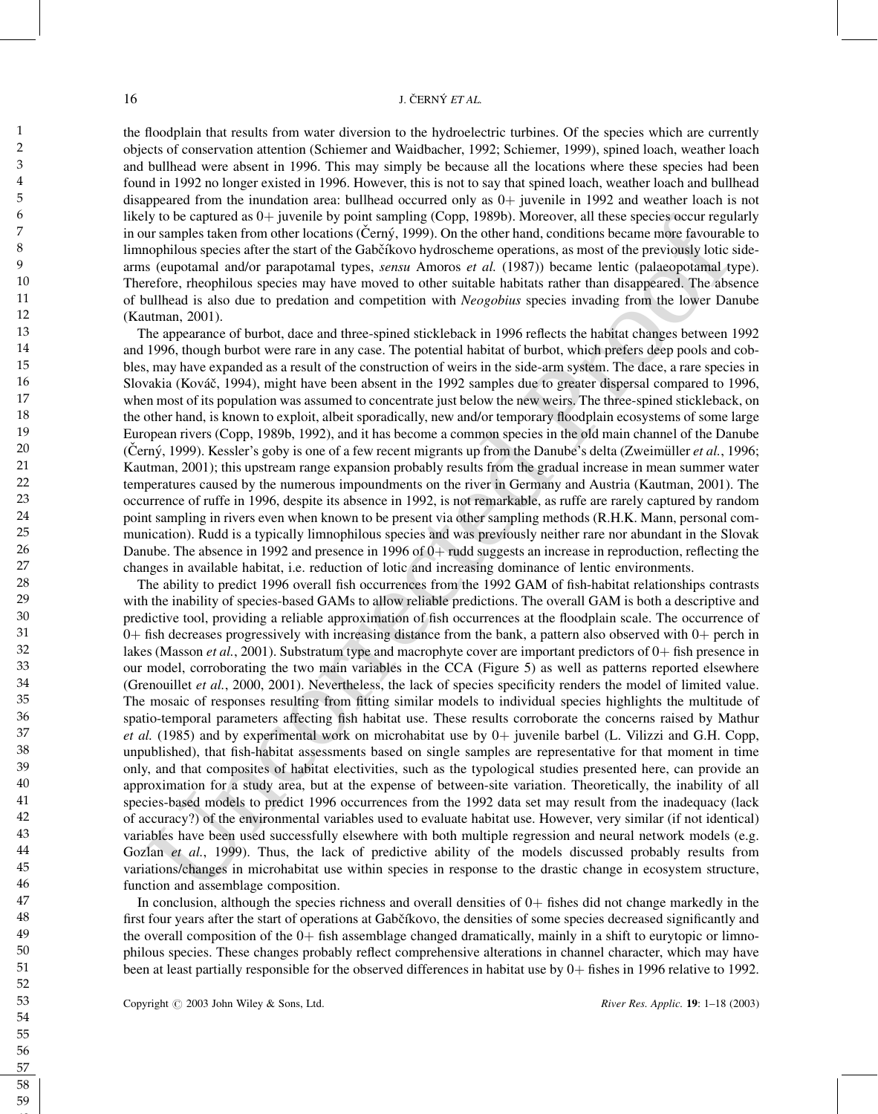the floodplain that results from water diversion to the hydroelectric turbines. Of the species which are currently objects of conservation attention (Schiemer and Waidbacher, 1992; Schiemer, 1999), spined loach, weather loach and bullhead were absent in 1996. This may simply be because all the locations where these species had been found in 1992 no longer existed in 1996. However, this is not to say that spined loach, weather loach and bullhead disappeared from the inundation area: bullhead occurred only as  $0+$  juvenile in 1992 and weather loach is not likely to be captured as  $0+$  juvenile by point sampling (Copp, 1989b). Moreover, all these species occur regularly in our samples taken from other locations (Cerny, 1999). On the other hand, conditions became more favourable to limnophilous species after the start of the Gabčíkovo hydroscheme operations, as most of the previously lotic sidearms (eupotamal and/or parapotamal types, *sensu* Amoros et al. (1987)) became lentic (palaeopotamal type). Therefore, rheophilous species may have moved to other suitable habitats rather than disappeared. The absence of bullhead is also due to predation and competition with Neogobius species invading from the lower Danube (Kautman, 2001).

The appearance of burbot, dace and three-spined stickleback in 1996 reflects the habitat changes between 1992 and 1996, though burbot were rare in any case. The potential habitat of burbot, which prefers deep pools and cobbles, may have expanded as a result of the construction of weirs in the side-arm system. The dace, a rare species in Slovakia (Kováč, 1994), might have been absent in the 1992 samples due to greater dispersal compared to 1996, when most of its population was assumed to concentrate just below the new weirs. The three-spined stickleback, on the other hand, is known to exploit, albeit sporadically, new and/or temporary floodplain ecosystems of some large European rivers (Copp, 1989b, 1992), and it has become a common species in the old main channel of the Danube (Černý, 1999). Kessler's goby is one of a few recent migrants up from the Danube's delta (Zweimüller et al., 1996; Kautman, 2001); this upstream range expansion probably results from the gradual increase in mean summer water temperatures caused by the numerous impoundments on the river in Germany and Austria (Kautman, 2001). The occurrence of ruffe in 1996, despite its absence in 1992, is not remarkable, as ruffe are rarely captured by random point sampling in rivers even when known to be present via other sampling methods (R.H.K. Mann, personal communication). Rudd is a typically limnophilous species and was previously neither rare nor abundant in the Slovak Danube. The absence in 1992 and presence in 1996 of  $0+$  rudd suggests an increase in reproduction, reflecting the changes in available habitat, i.e. reduction of lotic and increasing dominance of lentic environments.

Iy to be captured as 0 i piven is by pinits ampling (Copp. 1989b). Moreover, all thes species occurregulary<br>of the constrained property and the specific comparison of the constrained in the specific state of the specific The ability to predict 1996 overall fish occurrences from the 1992 GAM of fish-habitat relationships contrasts with the inability of species-based GAMs to allow reliable predictions. The overall GAM is both a descriptive and predictive tool, providing a reliable approximation of fish occurrences at the floodplain scale. The occurrence of  $0+$  fish decreases progressively with increasing distance from the bank, a pattern also observed with  $0+$  perch in lakes (Masson *et al.*, 2001). Substratum type and macrophyte cover are important predictors of  $0+$  fish presence in our model, corroborating the two main variables in the CCA (Figure 5) as well as patterns reported elsewhere (Grenouillet et al., 2000, 2001). Nevertheless, the lack of species specificity renders the model of limited value. The mosaic of responses resulting from fitting similar models to individual species highlights the multitude of spatio-temporal parameters affecting fish habitat use. These results corroborate the concerns raised by Mathur et al. (1985) and by experimental work on microhabitat use by  $0+$  juvenile barbel (L. Vilizzi and G.H. Copp, unpublished), that fish-habitat assessments based on single samples are representative for that moment in time only, and that composites of habitat electivities, such as the typological studies presented here, can provide an approximation for a study area, but at the expense of between-site variation. Theoretically, the inability of all species-based models to predict 1996 occurrences from the 1992 data set may result from the inadequacy (lack of accuracy?) of the environmental variables used to evaluate habitat use. However, very similar (if not identical) variables have been used successfully elsewhere with both multiple regression and neural network models (e.g. Gozlan et al., 1999). Thus, the lack of predictive ability of the models discussed probably results from variations/changes in microhabitat use within species in response to the drastic change in ecosystem structure, function and assemblage composition.

In conclusion, although the species richness and overall densities of  $0+$  fishes did not change markedly in the first four years after the start of operations at Gabčíkovo, the densities of some species decreased significantly and the overall composition of the  $0+$  fish assemblage changed dramatically, mainly in a shift to eurytopic or limnophilous species. These changes probably reflect comprehensive alterations in channel character, which may have been at least partially responsible for the observed differences in habitat use by  $0+$  fishes in 1996 relative to 1992.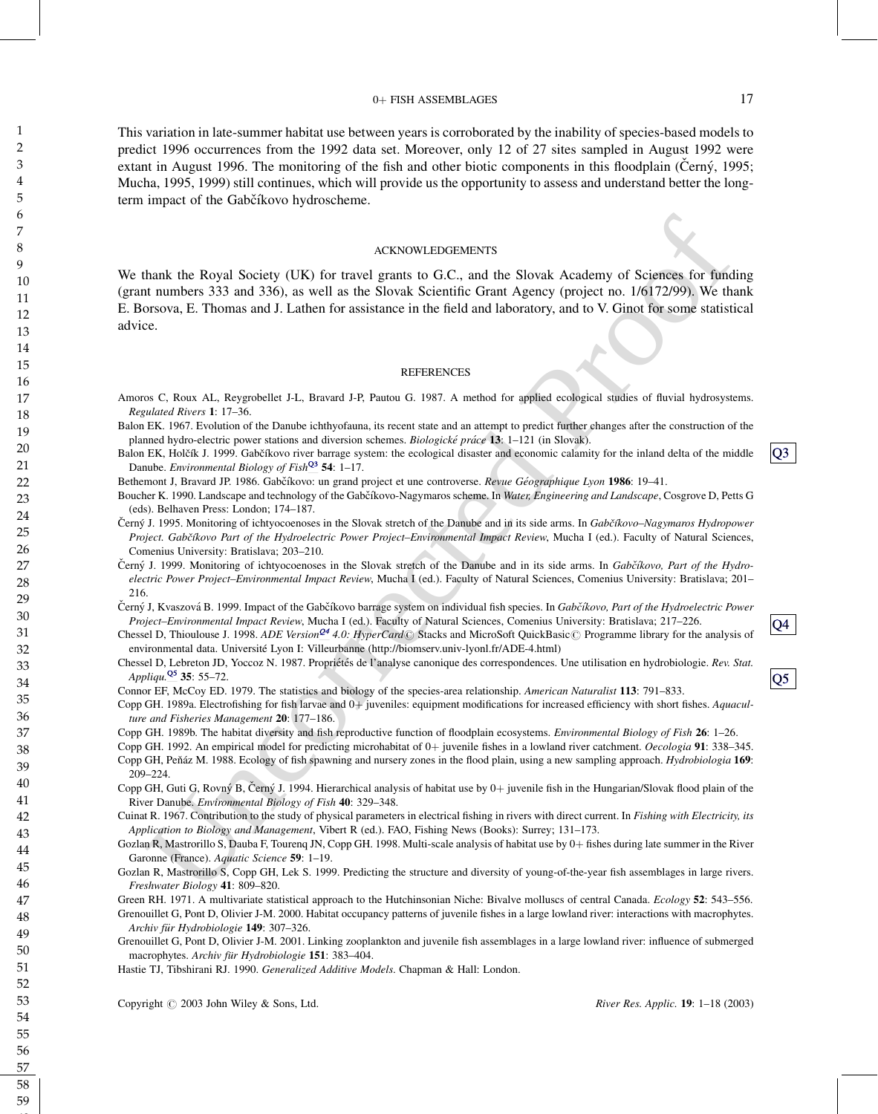#### 0+ FISH ASSEMBLAGES 17

This variation in late-summer habitat use between years is corroborated by the inability of species-based models to predict 1996 occurrences from the 1992 data set. Moreover, only 12 of 27 sites sampled in August 1992 were extant in August 1996. The monitoring of the fish and other biotic components in this floodplain (Cerny $\chi$ , 1995; Mucha, 1995, 1999) still continues, which will provide us the opportunity to assess and understand better the longterm impact of the Gabčíkovo hydroscheme.

#### ACKNOWLEDGEMENTS

ACKNOWLEDGEMENTS<br>
ACKNOWLEDGEMENTS<br>
ACKNOWLEDGEMENTS<br>
ACKNOWLEDGEMENTS<br>
In turniners 333 and 336), as well as the Shroute Kyclemitric Grant Agency (project on 16/h172/99). We the<br>
turniners 333 and 336), as well as the Sh We thank the Royal Society (UK) for travel grants to G.C., and the Slovak Academy of Sciences for funding (grant numbers 333 and 336), as well as the Slovak Scientific Grant Agency (project no. 1/6172/99). We thank E. Borsova, E. Thomas and J. Lathen for assistance in the field and laboratory, and to V. Ginot for some statistical advice.

#### **REFERENCES**

- <span id="page-16-1"></span><span id="page-16-0"></span>Amoros C, Roux AL, Reygrobellet J-L, Bravard J-P, Pautou G. 1987. A method for applied ecological studies of fluvial hydrosystems. Regulated Rivers 1: 17–36.
- Balon EK. 1967. Evolution of the Danube ichthyofauna, its recent state and an attempt to predict further changes after the construction of the planned hydro-electric power stations and diversion schemes. Biologické práce 13: 1–121 (in Slovak).
- Balon EK, Holčík J. 1999. Gabčíkovo river barrage system: the ecological disaster and economic calamity for the inland delta of the middle Danube. Environmental Biology of Fish $\frac{Q3}{54}$  54: 1–17.
- Bethemont J, Bravard JP. 1986. Gabčíkovo: un grand project et une controverse. Revue Géographique Lyon 1986: 19–41.
- Boucher K. 1990. Landscape and technology of the Gabčíkovo-Nagymaros scheme. In Water, Engineering and Landscape, Cosgrove D, Petts G (eds). Belhaven Press: London; 174–187.
- Černý J. 1995. Monitoring of ichtyocoenoses in the Slovak stretch of the Danube and in its side arms. In Gabčíkovo–Nagymaros Hydropower Project. Gabčíkovo Part of the Hydroelectric Power Project–Environmental Impact Review, Mucha I (ed.). Faculty of Natural Sciences, Comenius University: Bratislava; 203–210.
- Černý J. 1999. Monitoring of ichtyocoenoses in the Slovak stretch of the Danube and in its side arms. In Gabčíkovo, Part of the Hydroelectric Power Project–Environmental Impact Review, Mucha I (ed.). Faculty of Natural Sciences, Comenius University: Bratislava; 201– 216.
- Černý J, Kvaszová B. 1999. Impact of the Gabčíkovo barrage system on individual fish species. In Gabčíkovo, Part of the Hydroelectric Power Project–Environmental Impact Review, Mucha I (ed.). Faculty of Natural Sciences, Comenius University: Bratislava; 217–226.
- Chessel D, Thioulouse J. 1998. ADE Version<sup>Q4</sup> 4.0: HyperCard© Stacks and MicroSoft QuickBasic© Programme library for the analysis of environmental data. Université Lyon I: Villeurbanne (http://biomserv.univ-lyonl.fr/ADE-4.html)
- Chessel D, Lebreton JD, Yoccoz N. 1987. Propriétés de l'analyse canonique des correspondences. Une utilisation en hydrobiologie. Rev. Stat. Appliqu. $\frac{Q5}{Q}$  35: 55–72.
- Connor EF, McCoy ED. 1979. The statistics and biology of the species-area relationship. American Naturalist 113: 791–833.
- Copp GH. 1989a. Electrofishing for fish larvae and 0+ juveniles: equipment modifications for increased efficiency with short fishes. Aquaculture and Fisheries Management 20: 177–186.
- Copp GH. 1989b. The habitat diversity and fish reproductive function of floodplain ecosystems. Environmental Biology of Fish 26: 1–26.
- Copp GH. 1992. An empirical model for predicting microhabitat of  $0+$  juvenile fishes in a lowland river catchment. *Oecologia* 91: 338–345.
- Copp GH, Peňáz M. 1988. Ecology of fish spawning and nursery zones in the flood plain, using a new sampling approach. Hydrobiologia 169: 209–224.
- Copp GH, Guti G, Rovný B, Černý J. 1994. Hierarchical analysis of habitat use by  $0+$  juvenile fish in the Hungarian/Slovak flood plain of the River Danube. Environmental Biology of Fish 40: 329–348.
- Cuinat R. 1967. Contribution to the study of physical parameters in electrical fishing in rivers with direct current. In Fishing with Electricity, its Application to Biology and Management, Vibert R (ed.). FAO, Fishing News (Books): Surrey; 131-173.
- Gozlan R, Mastrorillo S, Dauba F, Tourenq JN, Copp GH. 1998. Multi-scale analysis of habitat use by 0+ fishes during late summer in the River Garonne (France). Aquatic Science 59: 1–19.
- Gozlan R, Mastrorillo S, Copp GH, Lek S. 1999. Predicting the structure and diversity of young-of-the-year fish assemblages in large rivers. Freshwater Biology 41: 809–820.
- Green RH. 1971. A multivariate statistical approach to the Hutchinsonian Niche: Bivalve molluscs of central Canada. *Ecology* 52: 543–556.
- Grenouillet G, Pont D, Olivier J-M. 2000. Habitat occupancy patterns of juvenile fishes in a large lowland river: interactions with macrophytes. Archiv für Hydrobiologie 149: 307-326.
- Grenouillet G, Pont D, Olivier J-M. 2001. Linking zooplankton and juvenile fish assemblages in a large lowland river: influence of submerged macrophytes. Archiv für Hydrobiologie 151: 383–404.
- Hastie TJ, Tibshirani RJ. 1990. Generalized Additive Models. Chapman & Hall: London.

Copyright  $\odot$  2003 John Wiley & Sons, Ltd. River Res. Applic. 19: 1–18 (2003)

Q4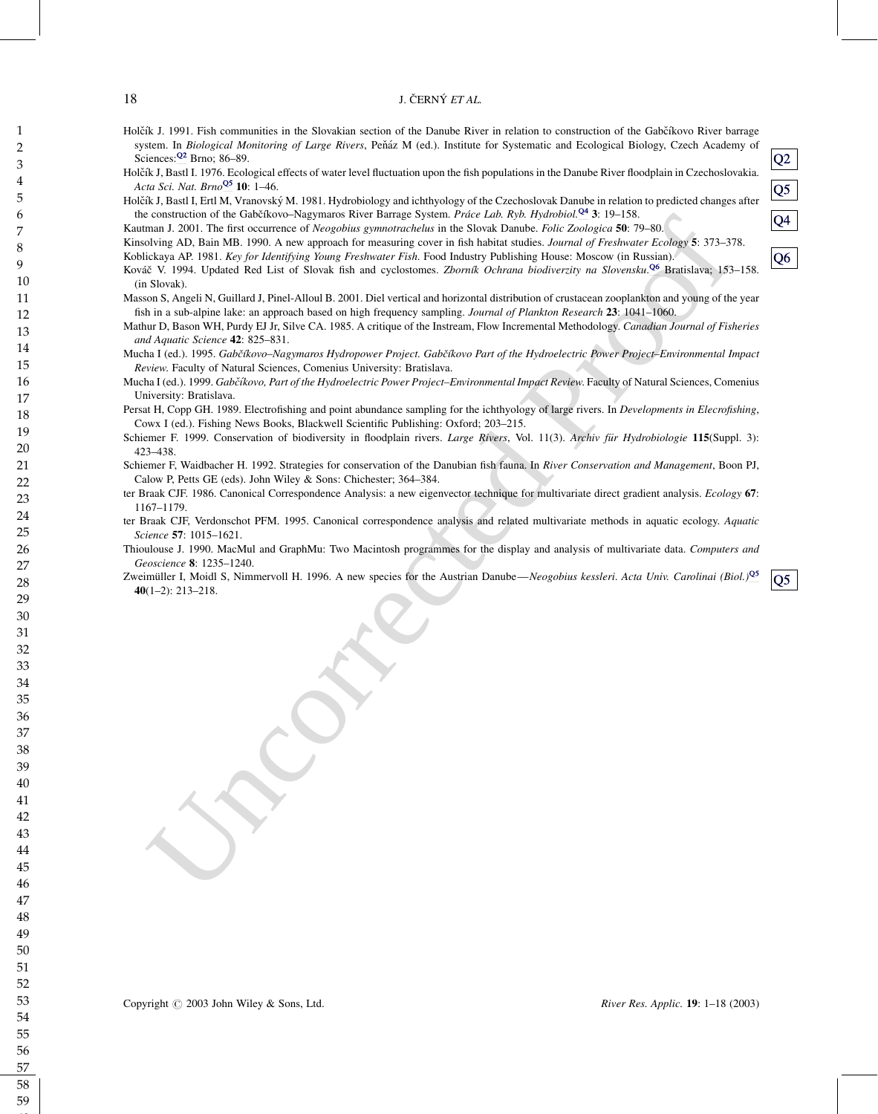#### <span id="page-17-0"></span>18 J. ČERNÝ ET AL.

- Holčík J. 1991. Fish communities in the Slovakian section of the Danube River in relation to construction of the Gabčíkovo River barrage system. In Biological Monitoring of Large Rivers, Peňáz M (ed.). Institute for Systematic and Ecological Biology, Czech Academy of Sciences: $\frac{Q^2}{12}$  Brno; 86–89.
- Holčík J, Bastl I. 1976. Ecological effects of water level fluctuation upon the fish populations in the Danube River floodplain in Czechoslovakia. Acta Sci. Nat. Brno<sup>Q5</sup> 10: 1-46.
- Holčík J, Bastl I, Ertl M, Vranovský M. 1981. Hydrobiology and ichthyology of the Czechoslovak Danube in relation to predicted changes after the construction of the Gabčíkovo–Nagymaros River Barrage System. Práce Lab. Ryb. Hydrobiol.<sup>04</sup> 3: 19–158.
- Kautman J. 2001. The first occurrence of Neogobius gymnotrachelus in the Slovak Danube. Folic Zoologica 50: 79-80.

Kinsolving AD, Bain MB. 1990. A new approach for measuring cover in fish habitat studies. Journal of Freshwater Ecology 5: 373-378. Koblickaya AP. 1981. Key for Identifying Young Freshwater Fish. Food Industry Publishing House: Moscow (in Russian).

- control of the Goldkhore-Negrators Rive Estings System. Prior Lab, Rob Herobook 25, 19-158.<br>
control of the System System control of the System of the System Control of the System of the System of the System of the System Kováč V. 1994. Updated Red List of Slovak fish and cyclostomes. Zborník Ochrana biodiverzity na Slovensku.<sup>Q6</sup> Bratislava; 153-158. (in Slovak).
- Masson S, Angeli N, Guillard J, Pinel-Alloul B. 2001. Diel vertical and horizontal distribution of crustacean zooplankton and young of the year fish in a sub-alpine lake: an approach based on high frequency sampling. Journal of Plankton Research 23: 1041–1060.
- Mathur D, Bason WH, Purdy EJ Jr, Silve CA. 1985. A critique of the Instream, Flow Incremental Methodology. Canadian Journal of Fisheries and Aquatic Science 42: 825–831.
- Mucha I (ed.). 1995. Gabčíkovo–Nagymaros Hydropower Project. Gabčíkovo Part of the Hydroelectric Power Project–Environmental Impact Review. Faculty of Natural Sciences, Comenius University: Bratislava.
- Mucha I (ed.). 1999. Gabčíkovo, Part of the Hydroelectric Power Project–Environmental Impact Review. Faculty of Natural Sciences, Comenius University: Bratislava.
- Persat H, Copp GH. 1989. Electrofishing and point abundance sampling for the ichthyology of large rivers. In Developments in Elecrofishing, Cowx I (ed.). Fishing News Books, Blackwell Scientific Publishing: Oxford; 203–215.
- Schiemer F. 1999. Conservation of biodiversity in floodplain rivers. Large Rivers, Vol. 11(3). Archiv für Hydrobiologie 115(Suppl. 3): 423–438.
- Schiemer F, Waidbacher H. 1992. Strategies for conservation of the Danubian fish fauna. In River Conservation and Management, Boon PJ, Calow P, Petts GE (eds). John Wiley & Sons: Chichester; 364–384.
- ter Braak CJF. 1986. Canonical Correspondence Analysis: a new eigenvector technique for multivariate direct gradient analysis. Ecology 67: 1167–1179.
- ter Braak CJF, Verdonschot PFM. 1995. Canonical correspondence analysis and related multivariate methods in aquatic ecology. Aquatic Science 57: 1015–1621.
- Thioulouse J. 1990. MacMul and GraphMu: Two Macintosh programmes for the display and analysis of multivariate data. Computers and Geoscience 8: 1235–1240.
- Zweimüller I, Moidl S, Nimmervoll H. 1996. A new species for the Austrian Danube—Neogobius kessleri. Acta Univ. Carolinai (Biol.)<sup>Q5</sup> 40(1–2): 213–218.

Q2

Q5

Q4

Q6